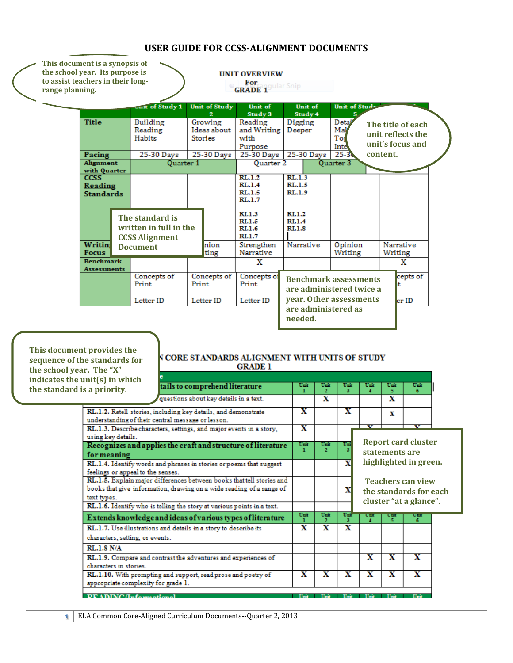| This document is a synopsis of<br>the school year. Its purpose is<br>to assist teachers in their long-<br>range planning. |                                            |                                                                    |       |                                          | <b>UNIT OVERVIEW</b><br>For gular Snip             |                                         |                    |                                                          |          |                                                            |  |
|---------------------------------------------------------------------------------------------------------------------------|--------------------------------------------|--------------------------------------------------------------------|-------|------------------------------------------|----------------------------------------------------|-----------------------------------------|--------------------|----------------------------------------------------------|----------|------------------------------------------------------------|--|
|                                                                                                                           |                                            | Jult of Study 1                                                    |       | <b>Unit of Study</b>                     | Unit of<br>Study 3                                 |                                         | Unit of<br>Study 4 | Unit of Study                                            |          |                                                            |  |
|                                                                                                                           | <b>Title</b>                               | <b>Building</b><br>Reading<br>Habits                               |       | Growing<br>Ideas about<br><b>Stories</b> | Reading<br>and Writing<br>with<br>Purpose          | Digging<br>Deeper                       |                    | Deta <sup>y</sup><br>Mal<br>Tot<br>Inte                  |          | The title of each<br>unit reflects the<br>unit's focus and |  |
|                                                                                                                           | Pacing                                     | 25-30 Days                                                         |       | 25-30 Days                               | 25-30 Days                                         |                                         | 25-30 Days         | $25 - 36$                                                | content. |                                                            |  |
|                                                                                                                           | Alignment<br>with Quarter                  | <b>Ouarter 1</b>                                                   |       |                                          | Ouarter 2                                          |                                         |                    | Quarter 3                                                |          |                                                            |  |
|                                                                                                                           | <b>CCSS</b><br>Reading<br><b>Standards</b> |                                                                    |       |                                          | RL.1.2<br>RL.1.4<br>RL.1.5<br>RL.1.7               | RL.1.3<br>RL.1.5<br>RL.1.9              |                    |                                                          |          |                                                            |  |
|                                                                                                                           |                                            | The standard is<br>written in full in the<br><b>CCSS Alignment</b> |       |                                          | <b>RI.1.3</b><br>RI.1.5<br><b>RI.1.6</b><br>RI.1.7 | RL1.2<br><b>RI.1.4</b><br><b>RI.1.8</b> |                    |                                                          |          |                                                            |  |
|                                                                                                                           | <b>Writing</b><br><b>Focus</b>             | <b>Document</b>                                                    |       | nion<br>ting                             | Strengthen<br>Narrative                            |                                         | Narrative          | Opinion<br>Writing                                       | Writing  | Narrative                                                  |  |
|                                                                                                                           | <b>Benchmark</b><br><b>Assessments</b>     |                                                                    |       |                                          | X                                                  |                                         |                    |                                                          |          | x                                                          |  |
|                                                                                                                           |                                            | Concepts of<br>Print                                               | Print | Concepts of                              | Concepts of<br>Print                               |                                         |                    | <b>Benchmark assessments</b><br>are administered twice a |          | cepts of                                                   |  |
|                                                                                                                           |                                            | Letter ID                                                          |       | Letter ID                                | Letter ID                                          | needed.                                 |                    | year. Other assessments<br>are administered as           |          | ler ID                                                     |  |

### **USER GUIDE FOR CCSS-ALIGNMENT DOCUMENTS**

**This document provides the sequence of the standards for the school year. The "X" indicates the unit(s) in which the standard is** 

#### **N CORE STANDARDS ALIGNMENT WITH UNITS OF STUDY GRADE 1**

| ANIUS) IN WINCH<br>s a priority.                                                                                                                             | tails to comprehend literature                                         | Umit                    | Unit<br>$\mathbf{r}$    | Umit<br>з               | Umit                         | Umit                                                                         | Unit                    |  |
|--------------------------------------------------------------------------------------------------------------------------------------------------------------|------------------------------------------------------------------------|-------------------------|-------------------------|-------------------------|------------------------------|------------------------------------------------------------------------------|-------------------------|--|
|                                                                                                                                                              | questions about key details in a text.                                 |                         | $\overline{\mathbf{x}}$ |                         |                              | $\overline{\mathbf{x}}$                                                      |                         |  |
| RL.1.2. Retell stories, including key details, and demonstrate<br>understanding of their central message or lesson.                                          | x                                                                      |                         | $\overline{\mathbf{x}}$ |                         | х                            |                                                                              |                         |  |
| using key details.                                                                                                                                           | RL.1.3. Describe characters, settings, and major events in a story,    | $\overline{\mathbf{x}}$ |                         |                         | v                            |                                                                              | ₩                       |  |
| Recognizes and applies the craft and structure of literature<br>for meaning                                                                                  | Unit                                                                   | Unit<br>ο.              | Umi<br>3                |                         | statements are               | <b>Report card cluster</b>                                                   |                         |  |
| feelings or appeal to the senses.                                                                                                                            | RL.1.4. Identify words and phrases in stories or poems that suggest    |                         |                         | $\overline{\mathbf{x}}$ |                              |                                                                              | highlighted in green.   |  |
| RL.1.5. Explain major differences between books that tell stories and<br>books that give information, drawing on a wide reading of a range of<br>text types. |                                                                        |                         | x                       |                         |                              | <b>Teachers can view</b><br>the standards for each<br>cluster "at a glance". |                         |  |
|                                                                                                                                                              | RL.1.6. Identify who is telling the story at various points in a text. |                         |                         |                         |                              |                                                                              |                         |  |
|                                                                                                                                                              | Extends knowledge and ideas of various types of literature             | Unit                    | Unit                    | Umi<br>з                | <b>U</b> m<br>$\overline{4}$ | <b>Lists</b><br>ĸ.                                                           | um<br>6.                |  |
| characters, setting, or events.                                                                                                                              | RL.1.7. Use illustrations and details in a story to describe its       | $\overline{\mathbf{x}}$ | $\overline{\mathbf{x}}$ | $\overline{\mathbf{x}}$ |                              |                                                                              |                         |  |
| <b>RL.1.8 N/A</b>                                                                                                                                            |                                                                        |                         |                         |                         |                              |                                                                              |                         |  |
| RL.1.9. Compare and contrast the adventures and experiences of<br>characters in stories.                                                                     |                                                                        |                         |                         | $\overline{\mathbf{x}}$ | $\overline{\mathbf{x}}$      | $\overline{\mathbf{x}}$                                                      |                         |  |
| RL.1.10. With prompting and support, read prose and poetry of<br>appropriate complexity for grade 1.                                                         |                                                                        |                         | $\overline{\mathbf{x}}$ | $\overline{\mathbf{x}}$ | $\overline{\mathbf{x}}$      | $\overline{\mathbf{x}}$                                                      | $\overline{\mathbf{x}}$ |  |
| DEADING Jnformational                                                                                                                                        |                                                                        |                         |                         |                         |                              |                                                                              |                         |  |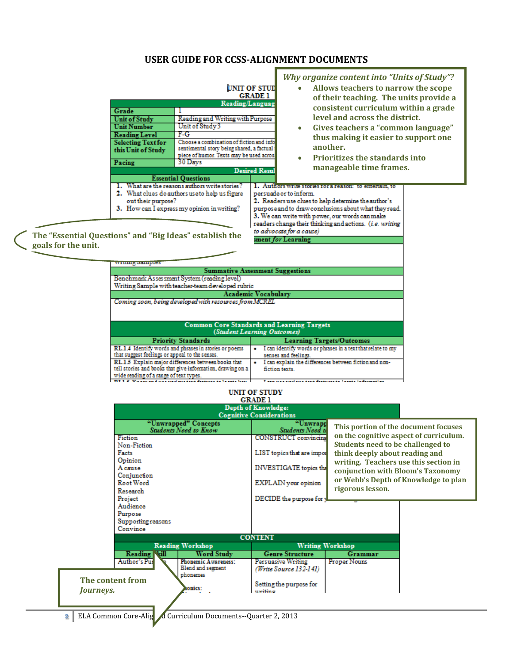#### **USER GUIDE FOR CCSS-ALIGNMENT DOCUMENTS**

Г

| Grade<br><b>Unit of Study</b><br><b>Unit Number</b><br><b>Reading Level</b><br><b>Selecting Text for</b><br>this Unit of Study<br>Pacing | <b>Reading/Languag</b><br>Reading and Writing with Purpose<br>Unit of Study 3<br>F-G-<br>Choose a combination of fiction and info<br>sentimental story being shared, a factual<br>piece of humor. Texts may be used acros:<br>30 Days<br><b>Essential Questions</b> | UNIT OF STUD<br><b>GRADE 1</b><br><b>Desired Resul</b> | <b>Why organize content into "Units of Study"?</b><br>Allows teachers to narrow the scope<br>of their teaching. The units provide a<br>consistent curriculum within a grade<br>level and across the district.<br>Gives teachers a "common language"<br>$\bullet$<br>thus making it easier to support one<br>another.<br><b>Prioritizes the standards into</b><br>$\bullet$<br>manageable time frames. |
|------------------------------------------------------------------------------------------------------------------------------------------|---------------------------------------------------------------------------------------------------------------------------------------------------------------------------------------------------------------------------------------------------------------------|--------------------------------------------------------|-------------------------------------------------------------------------------------------------------------------------------------------------------------------------------------------------------------------------------------------------------------------------------------------------------------------------------------------------------------------------------------------------------|
| out their purpose?                                                                                                                       | What are the reasons authors write stories?<br>2. What clues do authors use to help us figure<br>3. How can I express my opinion in writing?<br>ational and "Die Linear" octoblish the                                                                              |                                                        | 1. Authors write stories for a reason: to entertain, to<br>persuade or to inform.<br>2. Readers use clues to help determine the author's<br>purpose and to draw conclusions about what they read.<br>3. We can write with power, our words can make<br>readers change their thinking and actions. (i.e. writing<br>to advocate for a cause)                                                           |

sment *for* Learning

**The "Essential Questions" and "Big Ideas" establish the goals for the unit.**

| writing oamples                                                              |                                                                  |  |  |  |  |  |
|------------------------------------------------------------------------------|------------------------------------------------------------------|--|--|--|--|--|
| <b>Summative Assessment Suggestions</b>                                      |                                                                  |  |  |  |  |  |
| Benchmark As sessment System (reading level)                                 |                                                                  |  |  |  |  |  |
| Writing Sample with teacher-team developed rubric                            |                                                                  |  |  |  |  |  |
|                                                                              | <b>Academic Vocabulary</b>                                       |  |  |  |  |  |
| Coming soon, being developed with resources from MCREL                       |                                                                  |  |  |  |  |  |
|                                                                              |                                                                  |  |  |  |  |  |
|                                                                              |                                                                  |  |  |  |  |  |
| <b>Common Core Standards and Learning Targets</b>                            |                                                                  |  |  |  |  |  |
|                                                                              | (Student Learning Outcomes)                                      |  |  |  |  |  |
|                                                                              |                                                                  |  |  |  |  |  |
| <b>Priority Standards</b>                                                    | <b>Learning Targets/Outcomes</b>                                 |  |  |  |  |  |
| RL.1.4 Identify words and phrases in stories or poems                        | I can identify words or phrases in a text that relate to my      |  |  |  |  |  |
| that suggest feelings or appeal to the senses.                               | senses and feelings.                                             |  |  |  |  |  |
| RL.1.5 Explain major differences between books that                          | I can explain the differences between fiction and non-           |  |  |  |  |  |
| tell stories and books that give information, drawing on a<br>fiction texts. |                                                                  |  |  |  |  |  |
| wide reading of a range of text types.                                       |                                                                  |  |  |  |  |  |
| THE R. P. Lewis and constructions and features to be sets here.              | These was considered about September 22, Thereto, Indianapolisco |  |  |  |  |  |

# UNIT OF STUDY<br>GRADE 1

|                                |                                                                      | <b>Depth of Knowledge:</b><br><b>Cognitive Considerations</b> |                                                                         |                                        |
|--------------------------------|----------------------------------------------------------------------|---------------------------------------------------------------|-------------------------------------------------------------------------|----------------------------------------|
|                                | "Unwrapped" Concepts<br><b>Students Need to Know</b>                 | "Unwrapp<br><b>Students Need to</b>                           | This portion of the document focuses                                    |                                        |
| Fiction<br>Non-Fiction         |                                                                      | <b>CONSTRUCT</b> convincing                                   | Students need to be challenged to                                       | on the cognitive aspect of curriculum. |
| Facts<br>Opinion               |                                                                      | LIST topics that are import                                   | think deeply about reading and<br>writing. Teachers use this section in |                                        |
| A cause<br>Conjunction         |                                                                      | INVESTIGATE topics that                                       | conjunction with Bloom's Taxonomy                                       |                                        |
| Root Word<br>Research          |                                                                      | EXPLAIN your opinion                                          | rigorous lesson.                                                        | or Webb's Depth of Knowledge to plan   |
| Project<br>Audience            |                                                                      | DECIDE the purpose for y                                      |                                                                         |                                        |
| Purpose                        |                                                                      |                                                               |                                                                         |                                        |
| Supporting reasons<br>Convince |                                                                      |                                                               |                                                                         |                                        |
|                                |                                                                      | <b>CONTENT</b>                                                |                                                                         |                                        |
| <b>Reading Ndll</b>            | <b>Reading Workshop</b>                                              | <b>Genre Structure</b>                                        | <b>Writing Workshop</b><br><b>Grammar</b>                               |                                        |
| Author's Pus                   | <b>Word Study</b><br><b>Phonemic Awareness:</b><br>Blend and segment | <b>Persuasive Writing</b>                                     | Proper Nouns                                                            |                                        |
| The content from               | phonemes                                                             | (Write Source 132-141)                                        |                                                                         |                                        |
| <i>Journeys.</i>               | donics:                                                              | Setting the purpose for<br>meditioner                         |                                                                         |                                        |
|                                |                                                                      |                                                               |                                                                         |                                        |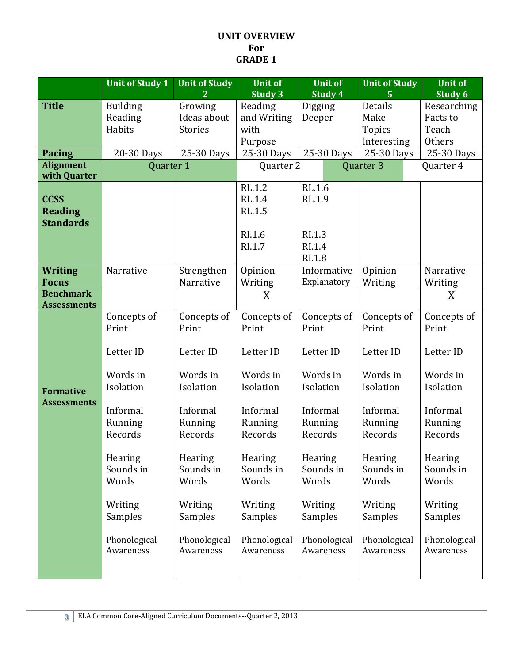#### **UNIT OVERVIEW For GRADE 1**

|                                        | <b>Unit of Study 1</b>    | <b>Unit of Study</b><br>$\overline{2}$ | <b>Unit of</b><br><b>Study 3</b> | <b>Unit of</b><br>Study 4 | <b>Unit of Study</b><br>5 | <b>Unit of</b><br>Study 6 |
|----------------------------------------|---------------------------|----------------------------------------|----------------------------------|---------------------------|---------------------------|---------------------------|
| <b>Title</b>                           | <b>Building</b>           | Growing                                | Reading                          | Digging                   | Details                   | Researching               |
|                                        | Reading                   | Ideas about                            | and Writing                      | Deeper                    | Make                      | Facts to                  |
|                                        | Habits                    | <b>Stories</b>                         | with                             |                           | <b>Topics</b>             | Teach                     |
|                                        |                           |                                        | Purpose                          |                           | Interesting               | Others                    |
| <b>Pacing</b>                          | 20-30 Days                | 25-30 Days                             | 25-30 Days                       | 25-30 Days                | 25-30 Days                | 25-30 Days                |
| <b>Alignment</b>                       | Quarter 1                 |                                        | Quarter 2                        |                           | Quarter <sub>3</sub>      | Quarter 4                 |
| with Quarter                           |                           |                                        |                                  |                           |                           |                           |
|                                        |                           |                                        | <b>RL.1.2</b>                    | <b>RL.1.6</b>             |                           |                           |
| <b>CCSS</b>                            |                           |                                        | <b>RL.1.4</b>                    | RL.1.9                    |                           |                           |
| <b>Reading</b>                         |                           |                                        | <b>RL.1.5</b>                    |                           |                           |                           |
| <b>Standards</b>                       |                           |                                        |                                  |                           |                           |                           |
|                                        |                           |                                        | RI.1.6                           | RI.1.3                    |                           |                           |
|                                        |                           |                                        | RI.1.7                           | RI.1.4                    |                           |                           |
|                                        |                           |                                        |                                  | RI.1.8                    |                           |                           |
| <b>Writing</b>                         | Narrative                 | Strengthen                             | Opinion                          | Informative               | Opinion                   | Narrative                 |
| <b>Focus</b>                           |                           | Narrative                              | Writing                          | Explanatory               | Writing                   | Writing                   |
| <b>Benchmark</b><br><b>Assessments</b> |                           |                                        | X                                |                           |                           | X                         |
|                                        | Concepts of               | Concepts of                            | Concepts of                      | Concepts of               | Concepts of               | Concepts of               |
|                                        | Print                     | Print                                  | Print                            | Print                     | Print                     | Print                     |
|                                        |                           |                                        |                                  |                           |                           |                           |
|                                        | Letter ID                 | Letter ID                              | Letter ID                        | Letter ID                 | Letter ID                 | Letter ID                 |
|                                        | Words in                  | Words in                               | Words in                         | Words in                  | Words in                  | Words in                  |
| <b>Formative</b>                       | Isolation                 | Isolation                              | Isolation                        | Isolation                 | Isolation                 | Isolation                 |
| <b>Assessments</b>                     | Informal                  | Informal                               | Informal                         | Informal                  | Informal                  | Informal                  |
|                                        | Running                   | Running                                | Running                          | Running                   | Running                   | Running                   |
|                                        | Records                   | Records                                | Records                          | Records                   | Records                   | Records                   |
|                                        |                           |                                        |                                  |                           |                           |                           |
|                                        | Hearing                   | Hearing                                | Hearing                          | Hearing                   | Hearing                   | Hearing                   |
|                                        | Sounds in                 | Sounds in<br>Words                     | Sounds in                        | Sounds in<br>Words        | Sounds in                 | Sounds in                 |
|                                        | Words                     |                                        | Words                            |                           | Words                     | Words                     |
|                                        | Writing                   | Writing                                | Writing                          | Writing                   | Writing                   | Writing                   |
|                                        | Samples                   | Samples                                | Samples                          | Samples                   | Samples                   | Samples                   |
|                                        |                           |                                        |                                  | Phonological              |                           |                           |
|                                        | Phonological<br>Awareness | Phonological<br>Awareness              | Phonological<br>Awareness        | Awareness                 | Phonological<br>Awareness | Phonological<br>Awareness |
|                                        |                           |                                        |                                  |                           |                           |                           |
|                                        |                           |                                        |                                  |                           |                           |                           |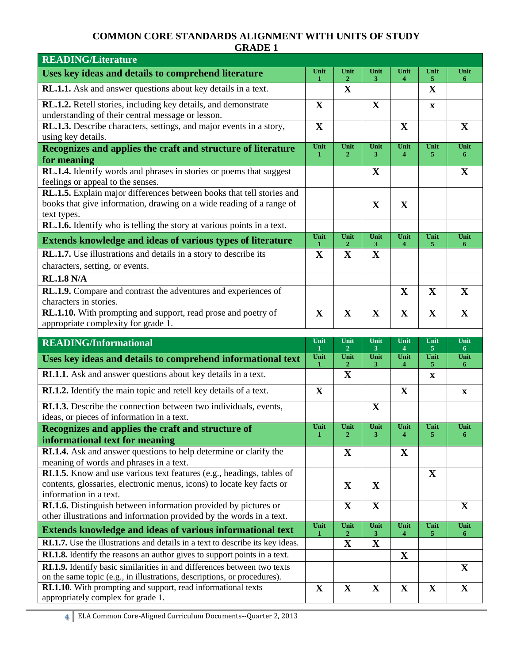| <b>READING/Literature</b>                                                                                                                                    |                      |                               |                        |                        |                  |                  |
|--------------------------------------------------------------------------------------------------------------------------------------------------------------|----------------------|-------------------------------|------------------------|------------------------|------------------|------------------|
| Uses key ideas and details to comprehend literature                                                                                                          | Unit<br>1            | Unit<br>$\mathbf{2}^{\prime}$ | Unit<br>3 <sup>1</sup> | Unit<br>$\overline{4}$ | Unit<br>5        | Unit<br>6        |
| RL.1.1. Ask and answer questions about key details in a text.                                                                                                |                      | $\mathbf X$                   |                        |                        | $\mathbf X$      |                  |
| RL.1.2. Retell stories, including key details, and demonstrate<br>understanding of their central message or lesson.                                          | $\mathbf X$          |                               | X                      |                        | X                |                  |
| RL.1.3. Describe characters, settings, and major events in a story,<br>using key details.                                                                    | $\mathbf{X}$         |                               |                        | $\mathbf X$            |                  | X                |
| Recognizes and applies the craft and structure of literature<br>for meaning                                                                                  | Unit<br>$\mathbf{1}$ | Unit<br>$\mathbf{2}$          | Unit<br>3              | Unit<br>$\overline{4}$ | Unit<br>5        | Unit<br>6        |
| RL.1.4. Identify words and phrases in stories or poems that suggest                                                                                          |                      |                               | X                      |                        |                  | X                |
| feelings or appeal to the senses.                                                                                                                            |                      |                               |                        |                        |                  |                  |
| RL.1.5. Explain major differences between books that tell stories and<br>books that give information, drawing on a wide reading of a range of<br>text types. |                      |                               | $\mathbf X$            | $\mathbf{X}$           |                  |                  |
| RL.1.6. Identify who is telling the story at various points in a text.                                                                                       |                      |                               |                        |                        |                  |                  |
| <b>Extends knowledge and ideas of various types of literature</b>                                                                                            | Unit<br>1            | Unit<br>$\boldsymbol{2}$      | Unit<br>3              | Unit<br>4              | Unit<br>5        | Unit<br>6        |
| RL.1.7. Use illustrations and details in a story to describe its                                                                                             | $\mathbf{X}$         | $\mathbf X$                   | $\mathbf X$            |                        |                  |                  |
| characters, setting, or events.                                                                                                                              |                      |                               |                        |                        |                  |                  |
| <b>RL.1.8 N/A</b>                                                                                                                                            |                      |                               |                        |                        |                  |                  |
| RL.1.9. Compare and contrast the adventures and experiences of<br>characters in stories.                                                                     |                      |                               |                        | $\mathbf X$            | $\mathbf X$      | $\mathbf X$      |
| <b>RL.1.10.</b> With prompting and support, read prose and poetry of                                                                                         | $\mathbf X$          | $\mathbf X$                   | X                      | $\mathbf{X}$           | $\mathbf{X}$     | $\mathbf X$      |
| appropriate complexity for grade 1.                                                                                                                          |                      |                               |                        |                        |                  |                  |
|                                                                                                                                                              |                      |                               |                        |                        |                  |                  |
| <b>READING/Informational</b>                                                                                                                                 | Unit                 | Unit                          | Unit                   | Unit                   | Unit             | Unit             |
| Uses key ideas and details to comprehend informational text                                                                                                  | Unit                 | $\overline{2}$<br>Unit        | 3 <sup>1</sup><br>Unit | $\overline{4}$<br>Unit | 5<br>Unit        | 6<br>Unit        |
| RI.1.1. Ask and answer questions about key details in a text.                                                                                                | 1                    | $\mathbf{2}$<br>$\mathbf X$   | 3                      | 4                      | 5<br>$\mathbf x$ | 6                |
| RI.1.2. Identify the main topic and retell key details of a text.                                                                                            | $\mathbf X$          |                               |                        | $\mathbf X$            |                  | $\mathbf X$      |
| RI.1.3. Describe the connection between two individuals, events,                                                                                             |                      |                               | X                      |                        |                  |                  |
| ideas, or pieces of information in a text.                                                                                                                   |                      |                               |                        |                        |                  |                  |
| Recognizes and applies the craft and structure of<br>informational text for meaning                                                                          | Unit<br>$\mathbf{1}$ | Unit<br>$\boldsymbol{2}$      | Unit<br>3              | Unit<br>$\overline{4}$ | Unit<br>5        | Unit<br>6        |
| RI.1.4. Ask and answer questions to help determine or clarify the                                                                                            |                      | $\mathbf X$                   |                        | $\mathbf{X}$           |                  |                  |
| meaning of words and phrases in a text.                                                                                                                      |                      |                               |                        |                        |                  |                  |
| RI.1.5. Know and use various text features (e.g., headings, tables of                                                                                        |                      |                               |                        |                        | X                |                  |
| contents, glossaries, electronic menus, icons) to locate key facts or<br>information in a text.                                                              |                      | $\mathbf X$                   | $\mathbf X$            |                        |                  |                  |
| RI.1.6. Distinguish between information provided by pictures or                                                                                              |                      | $\mathbf X$                   | $\mathbf X$            |                        |                  | $\mathbf X$      |
| other illustrations and information provided by the words in a text.                                                                                         | Unit                 | Unit                          | Unit                   | Unit                   | Unit             | Unit             |
| <b>Extends knowledge and ideas of various informational text</b>                                                                                             | 1                    | $\boldsymbol{2}$              | $\mathbf{3}$           | 4                      | 5                | $\boldsymbol{6}$ |
| <b>RI.1.7.</b> Use the illustrations and details in a text to describe its key ideas.                                                                        |                      | X                             | X                      |                        |                  |                  |
| RI.1.8. Identify the reasons an author gives to support points in a text.                                                                                    |                      |                               |                        | $\mathbf X$            |                  |                  |
| RI.1.9. Identify basic similarities in and differences between two texts<br>on the same topic (e.g., in illustrations, descriptions, or procedures).         |                      |                               |                        |                        |                  | $\mathbf X$      |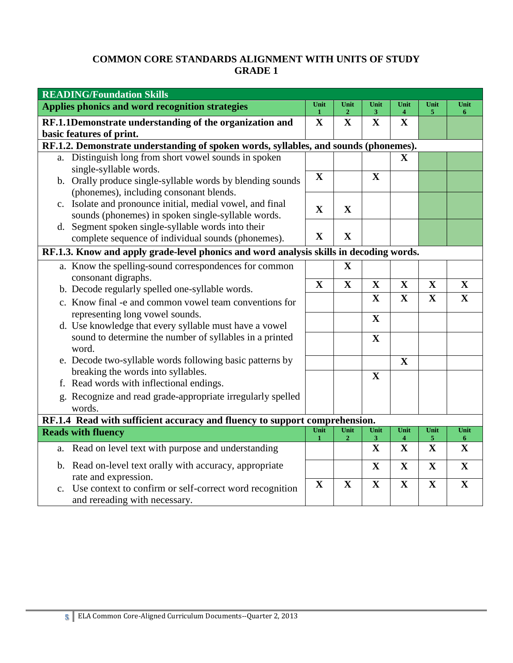| <b>READING/Foundation Skills</b>                                                                           |                      |                        |                      |                                 |              |             |
|------------------------------------------------------------------------------------------------------------|----------------------|------------------------|----------------------|---------------------------------|--------------|-------------|
| Applies phonics and word recognition strategies                                                            | Unit<br>$\mathbf{1}$ | Unit<br>$\mathbf{2}$   | Unit<br>$\mathbf{3}$ | Unit<br>$\overline{\mathbf{4}}$ | Unit<br>5    | Unit<br>6   |
| RF.1.1Demonstrate understanding of the organization and                                                    | $\mathbf X$          | $\mathbf X$            | $\mathbf{X}$         | $\mathbf X$                     |              |             |
| basic features of print.                                                                                   |                      |                        |                      |                                 |              |             |
| RF.1.2. Demonstrate understanding of spoken words, syllables, and sounds (phonemes).                       |                      |                        |                      |                                 |              |             |
| a. Distinguish long from short vowel sounds in spoken                                                      |                      |                        |                      | $\mathbf X$                     |              |             |
| single-syllable words.                                                                                     | $\mathbf X$          |                        | $\mathbf X$          |                                 |              |             |
| b. Orally produce single-syllable words by blending sounds                                                 |                      |                        |                      |                                 |              |             |
| (phonemes), including consonant blends.<br>Isolate and pronounce initial, medial vowel, and final          |                      |                        |                      |                                 |              |             |
| $c_{\cdot}$<br>sounds (phonemes) in spoken single-syllable words.                                          | $\mathbf X$          | X                      |                      |                                 |              |             |
| d. Segment spoken single-syllable words into their                                                         |                      |                        |                      |                                 |              |             |
| complete sequence of individual sounds (phonemes).                                                         | $\mathbf X$          | $\mathbf X$            |                      |                                 |              |             |
| RF.1.3. Know and apply grade-level phonics and word analysis skills in decoding words.                     |                      |                        |                      |                                 |              |             |
| a. Know the spelling-sound correspondences for common                                                      |                      | $\mathbf X$            |                      |                                 |              |             |
| consonant digraphs.                                                                                        |                      |                        |                      |                                 |              |             |
| b. Decode regularly spelled one-syllable words.                                                            | $\mathbf X$          | $\mathbf X$            | $\mathbf X$          | $\mathbf X$                     | $\mathbf X$  | $\mathbf X$ |
| c. Know final -e and common vowel team conventions for                                                     |                      |                        | $\mathbf X$          | $\mathbf X$                     | $\mathbf{X}$ | $\mathbf X$ |
| representing long vowel sounds.                                                                            |                      |                        | $\mathbf X$          |                                 |              |             |
| d. Use knowledge that every syllable must have a vowel                                                     |                      |                        |                      |                                 |              |             |
| sound to determine the number of syllables in a printed<br>word.                                           |                      |                        | $\mathbf X$          |                                 |              |             |
| e. Decode two-syllable words following basic patterns by                                                   |                      |                        |                      | $\mathbf X$                     |              |             |
| breaking the words into syllables.                                                                         |                      |                        | X                    |                                 |              |             |
| f. Read words with inflectional endings.                                                                   |                      |                        |                      |                                 |              |             |
| g. Recognize and read grade-appropriate irregularly spelled                                                |                      |                        |                      |                                 |              |             |
| words.                                                                                                     |                      |                        |                      |                                 |              |             |
| RF.1.4 Read with sufficient accuracy and fluency to support comprehension.                                 | Unit                 |                        |                      |                                 |              |             |
| <b>Reads with fluency</b>                                                                                  | 1                    | Unit<br>$\overline{2}$ | Unit<br>3            | Unit<br>$\overline{\bf{4}}$     | Unit<br>5    | Unit<br>6   |
| Read on level text with purpose and understanding<br>a.                                                    |                      |                        | $\mathbf X$          | $\mathbf X$                     | $\mathbf X$  | $\mathbf X$ |
| b. Read on-level text orally with accuracy, appropriate                                                    |                      |                        | $\mathbf X$          | $\mathbf{X}$                    | $\mathbf X$  | $\mathbf X$ |
| rate and expression.                                                                                       | $\mathbf X$          | $\mathbf X$            | $\mathbf X$          | $\mathbf X$                     | $\mathbf X$  | $\mathbf X$ |
| Use context to confirm or self-correct word recognition<br>$\mathbf{c}$ .<br>and rereading with necessary. |                      |                        |                      |                                 |              |             |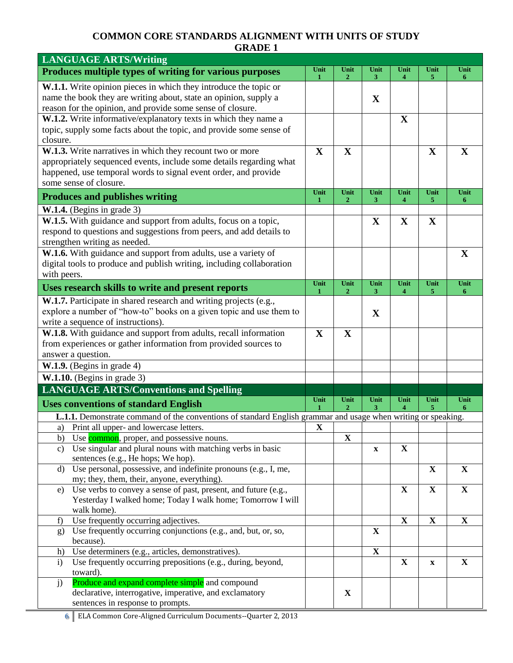| <b>LANGUAGE ARTS/Writing</b>                                                                                         |             |                        |                           |              |              |              |
|----------------------------------------------------------------------------------------------------------------------|-------------|------------------------|---------------------------|--------------|--------------|--------------|
| Produces multiple types of writing for various purposes                                                              | Unit<br>1   | Unit<br>2              | Unit<br>3                 | Unit<br>4    | Unit<br>5.   | Unit<br>6    |
| W.1.1. Write opinion pieces in which they introduce the topic or                                                     |             |                        |                           |              |              |              |
| name the book they are writing about, state an opinion, supply a                                                     |             |                        | $\mathbf X$               |              |              |              |
| reason for the opinion, and provide some sense of closure.                                                           |             |                        |                           |              |              |              |
| W.1.2. Write informative/explanatory texts in which they name a                                                      |             |                        |                           | X            |              |              |
| topic, supply some facts about the topic, and provide some sense of                                                  |             |                        |                           |              |              |              |
| closure.                                                                                                             |             |                        |                           |              |              |              |
| W.1.3. Write narratives in which they recount two or more                                                            | $\mathbf X$ | $\mathbf X$            |                           |              | $\mathbf X$  | X            |
| appropriately sequenced events, include some details regarding what                                                  |             |                        |                           |              |              |              |
| happened, use temporal words to signal event order, and provide                                                      |             |                        |                           |              |              |              |
| some sense of closure.                                                                                               |             |                        |                           |              |              |              |
| <b>Produces and publishes writing</b>                                                                                | Unit<br>1   | Unit<br>$\overline{2}$ | Unit<br>3                 | Unit<br>4    | Unit<br>5    | Unit<br>6    |
| $W.1.4.$ (Begins in grade 3)                                                                                         |             |                        |                           |              |              |              |
| W.1.5. With guidance and support from adults, focus on a topic,                                                      |             |                        | $\mathbf X$               | $\mathbf X$  | $\mathbf X$  |              |
| respond to questions and suggestions from peers, and add details to                                                  |             |                        |                           |              |              |              |
| strengthen writing as needed.                                                                                        |             |                        |                           |              |              |              |
| W.1.6. With guidance and support from adults, use a variety of                                                       |             |                        |                           |              |              | X            |
| digital tools to produce and publish writing, including collaboration                                                |             |                        |                           |              |              |              |
| with peers.                                                                                                          |             |                        |                           |              |              |              |
| Uses research skills to write and present reports                                                                    | Unit<br>-1  | Unit<br>$\mathbf{2}$   | Unit<br>3                 | Unit<br>4    | Unit<br>5    | Unit<br>6    |
| W.1.7. Participate in shared research and writing projects (e.g.,                                                    |             |                        |                           |              |              |              |
| explore a number of "how-to" books on a given topic and use them to                                                  |             |                        | $\mathbf X$               |              |              |              |
| write a sequence of instructions).                                                                                   |             |                        |                           |              |              |              |
| W.1.8. With guidance and support from adults, recall information                                                     | X           | $\mathbf X$            |                           |              |              |              |
| from experiences or gather information from provided sources to                                                      |             |                        |                           |              |              |              |
| answer a question.                                                                                                   |             |                        |                           |              |              |              |
| $W.1.9.$ (Begins in grade 4)                                                                                         |             |                        |                           |              |              |              |
| $W.1.10.$ (Begins in grade 3)                                                                                        |             |                        |                           |              |              |              |
| <b>LANGUAGE ARTS/Conventions and Spelling</b>                                                                        |             |                        |                           |              |              |              |
| <b>Uses conventions of standard English</b>                                                                          | Unit        | Unit<br>2              | Unit<br>3                 | Unit         | Unit<br>5.   | Unit<br>6    |
| <b>L.1.1.</b> Demonstrate command of the conventions of standard English grammar and usage when writing or speaking. |             |                        |                           |              |              |              |
| Print all upper- and lowercase letters.<br>a)                                                                        | X           |                        |                           |              |              |              |
| Use common, proper, and possessive nouns.<br>b)                                                                      |             | $\mathbf X$            |                           |              |              |              |
| Use singular and plural nouns with matching verbs in basic<br>C)                                                     |             |                        | $\boldsymbol{\mathrm{X}}$ | $\mathbf{X}$ |              |              |
| sentences (e.g., He hops; We hop).                                                                                   |             |                        |                           |              |              |              |
| Use personal, possessive, and indefinite pronouns (e.g., I, me,<br>d)                                                |             |                        |                           |              | $\mathbf{X}$ | $\mathbf{X}$ |
| my; they, them, their, anyone, everything).                                                                          |             |                        |                           |              |              |              |
| Use verbs to convey a sense of past, present, and future (e.g.,<br>e)                                                |             |                        |                           | $\mathbf X$  | $\mathbf X$  | $\mathbf{X}$ |
| Yesterday I walked home; Today I walk home; Tomorrow I will<br>walk home).                                           |             |                        |                           |              |              |              |
| Use frequently occurring adjectives.<br>f)                                                                           |             |                        |                           | $\mathbf X$  | $\mathbf X$  | $\mathbf{X}$ |
| Use frequently occurring conjunctions (e.g., and, but, or, so,<br>g)                                                 |             |                        | $\mathbf X$               |              |              |              |
| because).                                                                                                            |             |                        |                           |              |              |              |
| Use determiners (e.g., articles, demonstratives).<br>h)                                                              |             |                        | $\mathbf X$               |              |              |              |
| Use frequently occurring prepositions (e.g., during, beyond,<br>$\mathbf{i}$                                         |             |                        |                           | X            | $\mathbf x$  | X            |
| toward).                                                                                                             |             |                        |                           |              |              |              |
| Produce and expand complete simple and compound<br>j)                                                                |             |                        |                           |              |              |              |
| declarative, interrogative, imperative, and exclamatory                                                              |             | $\mathbf X$            |                           |              |              |              |
| sentences in response to prompts.                                                                                    |             |                        |                           |              |              |              |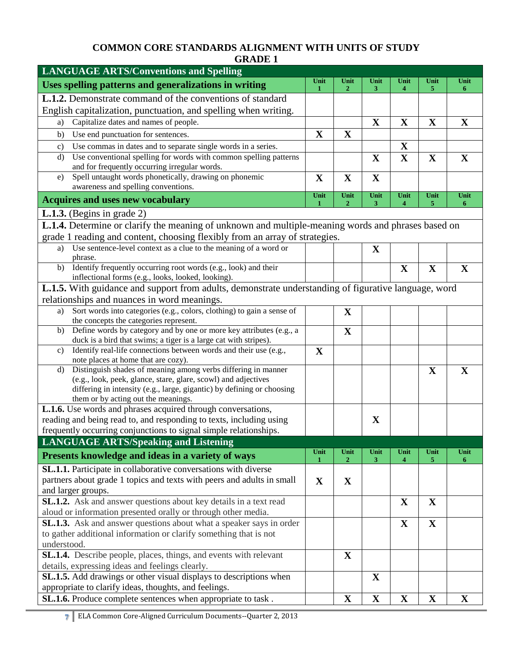| <b>LANGUAGE ARTS/Conventions and Spelling</b>                                                                                             |             |                        |                |                             |              |              |
|-------------------------------------------------------------------------------------------------------------------------------------------|-------------|------------------------|----------------|-----------------------------|--------------|--------------|
| Uses spelling patterns and generalizations in writing                                                                                     | Unit<br>1   | Unit<br>$\overline{2}$ | Unit<br>3      | Unit<br>$\overline{\bf{4}}$ | Unit<br>5    | Unit<br>6    |
| <b>L.1.2.</b> Demonstrate command of the conventions of standard                                                                          |             |                        |                |                             |              |              |
| English capitalization, punctuation, and spelling when writing.                                                                           |             |                        |                |                             |              |              |
| Capitalize dates and names of people.<br>a)                                                                                               |             |                        | $\mathbf X$    | $\mathbf X$                 | $\mathbf X$  | $\mathbf{X}$ |
| b)<br>Use end punctuation for sentences.                                                                                                  | $\mathbf X$ | $\mathbf X$            |                |                             |              |              |
| Use commas in dates and to separate single words in a series.<br>c)                                                                       |             |                        |                | $\mathbf X$                 |              |              |
| Use conventional spelling for words with common spelling patterns<br>d)                                                                   |             |                        | $\mathbf X$    | $\mathbf X$                 | $\mathbf X$  | $\mathbf{X}$ |
| and for frequently occurring irregular words.                                                                                             |             |                        |                |                             |              |              |
| Spell untaught words phonetically, drawing on phonemic<br>e)                                                                              | $\mathbf X$ | $\mathbf X$            | $\mathbf X$    |                             |              |              |
| awareness and spelling conventions.                                                                                                       | Unit        | Unit                   | Unit           | Unit                        | Unit         | Unit         |
| <b>Acquires and uses new vocabulary</b>                                                                                                   | 1           | $\overline{2}$         | 3 <sup>1</sup> | $\overline{\bf{4}}$         | 5            | 6            |
| <b>L.1.3.</b> (Begins in grade 2)                                                                                                         |             |                        |                |                             |              |              |
| L.1.4. Determine or clarify the meaning of unknown and multiple-meaning words and phrases based on                                        |             |                        |                |                             |              |              |
| grade 1 reading and content, choosing flexibly from an array of strategies.                                                               |             |                        |                |                             |              |              |
| Use sentence-level context as a clue to the meaning of a word or<br>a)                                                                    |             |                        | X              |                             |              |              |
| phrase.                                                                                                                                   |             |                        |                |                             |              |              |
| Identify frequently occurring root words (e.g., look) and their<br>b)                                                                     |             |                        |                | $\mathbf X$                 | $\mathbf X$  | $\mathbf X$  |
| inflectional forms (e.g., looks, looked, looking).                                                                                        |             |                        |                |                             |              |              |
| L.1.5. With guidance and support from adults, demonstrate understanding of figurative language, word                                      |             |                        |                |                             |              |              |
| relationships and nuances in word meanings.                                                                                               |             |                        |                |                             |              |              |
| Sort words into categories (e.g., colors, clothing) to gain a sense of<br>a)<br>the concepts the categories represent.                    |             | X                      |                |                             |              |              |
| Define words by category and by one or more key attributes (e.g., a<br>b)                                                                 |             | $\mathbf X$            |                |                             |              |              |
| duck is a bird that swims; a tiger is a large cat with stripes).                                                                          |             |                        |                |                             |              |              |
| Identify real-life connections between words and their use (e.g.,<br>$\mathbf{c}$                                                         | $\mathbf X$ |                        |                |                             |              |              |
| note places at home that are cozy).                                                                                                       |             |                        |                |                             |              |              |
| Distinguish shades of meaning among verbs differing in manner<br>$\mathbf{d}$                                                             |             |                        |                |                             | X            | $\mathbf X$  |
| (e.g., look, peek, glance, stare, glare, scowl) and adjectives                                                                            |             |                        |                |                             |              |              |
| differing in intensity (e.g., large, gigantic) by defining or choosing<br>them or by acting out the meanings.                             |             |                        |                |                             |              |              |
| L.1.6. Use words and phrases acquired through conversations,                                                                              |             |                        |                |                             |              |              |
| reading and being read to, and responding to texts, including using                                                                       |             |                        | X              |                             |              |              |
| frequently occurring conjunctions to signal simple relationships.                                                                         |             |                        |                |                             |              |              |
| <b>LANGUAGE ARTS/Speaking and Listening</b>                                                                                               |             |                        |                |                             |              |              |
| Presents knowledge and ideas in a variety of ways                                                                                         | Unit        | Unit                   | Unit           | Unit                        | Unit         | Unit         |
|                                                                                                                                           |             | $\mathbf{2}$           | 3              | $\overline{\bf{4}}$         | 5            | 6            |
| SL.1.1. Participate in collaborative conversations with diverse<br>partners about grade 1 topics and texts with peers and adults in small |             |                        |                |                             |              |              |
| and larger groups.                                                                                                                        | $\mathbf X$ | $\mathbf X$            |                |                             |              |              |
| <b>SL.1.2.</b> Ask and answer questions about key details in a text read                                                                  |             |                        |                | X                           | $\mathbf X$  |              |
| aloud or information presented orally or through other media.                                                                             |             |                        |                |                             |              |              |
| SL.1.3. Ask and answer questions about what a speaker says in order                                                                       |             |                        |                | $\mathbf X$                 | $\mathbf X$  |              |
| to gather additional information or clarify something that is not                                                                         |             |                        |                |                             |              |              |
| understood.                                                                                                                               |             |                        |                |                             |              |              |
| SL.1.4. Describe people, places, things, and events with relevant                                                                         |             | $\mathbf X$            |                |                             |              |              |
| details, expressing ideas and feelings clearly.                                                                                           |             |                        |                |                             |              |              |
| SL.1.5. Add drawings or other visual displays to descriptions when                                                                        |             |                        | X              |                             |              |              |
| appropriate to clarify ideas, thoughts, and feelings.                                                                                     |             |                        |                |                             |              |              |
| SL.1.6. Produce complete sentences when appropriate to task.                                                                              |             | $\mathbf{X}$           | $\mathbf X$    | $\mathbf{X}$                | $\mathbf{X}$ | $\mathbf{X}$ |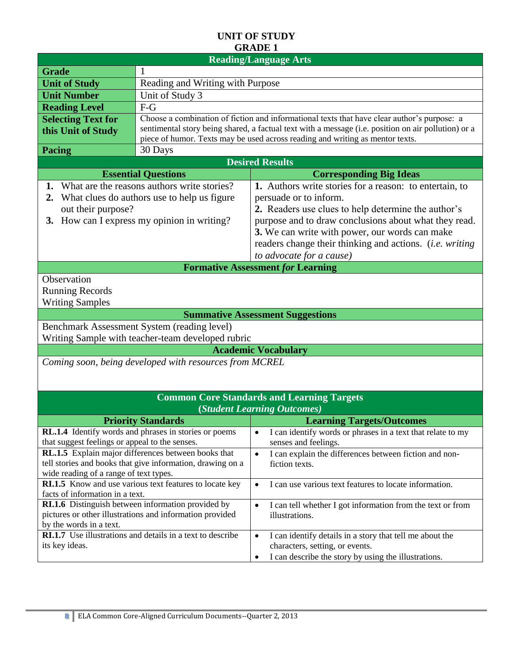|                                                | <b>Reading/Language Arts</b>                                                               |                                                                                                     |  |  |  |  |
|------------------------------------------------|--------------------------------------------------------------------------------------------|-----------------------------------------------------------------------------------------------------|--|--|--|--|
| <b>Grade</b>                                   | -1                                                                                         |                                                                                                     |  |  |  |  |
| <b>Unit of Study</b>                           |                                                                                            | Reading and Writing with Purpose                                                                    |  |  |  |  |
| <b>Unit Number</b>                             | Unit of Study 3                                                                            |                                                                                                     |  |  |  |  |
| <b>Reading Level</b>                           | $F-G$                                                                                      |                                                                                                     |  |  |  |  |
| <b>Selecting Text for</b>                      |                                                                                            | Choose a combination of fiction and informational texts that have clear author's purpose: a         |  |  |  |  |
| this Unit of Study                             |                                                                                            | sentimental story being shared, a factual text with a message (i.e. position on air pollution) or a |  |  |  |  |
|                                                |                                                                                            | piece of humor. Texts may be used across reading and writing as mentor texts.                       |  |  |  |  |
| Pacing                                         | 30 Days                                                                                    |                                                                                                     |  |  |  |  |
|                                                |                                                                                            | <b>Desired Results</b>                                                                              |  |  |  |  |
|                                                | <b>Essential Questions</b>                                                                 | <b>Corresponding Big Ideas</b>                                                                      |  |  |  |  |
| 1.<br>2.                                       | What are the reasons authors write stories?<br>What clues do authors use to help us figure | 1. Authors write stories for a reason: to entertain, to<br>persuade or to inform.                   |  |  |  |  |
| out their purpose?                             |                                                                                            | 2. Readers use clues to help determine the author's                                                 |  |  |  |  |
|                                                | 3. How can I express my opinion in writing?                                                | purpose and to draw conclusions about what they read.                                               |  |  |  |  |
|                                                |                                                                                            | 3. We can write with power, our words can make                                                      |  |  |  |  |
|                                                |                                                                                            | readers change their thinking and actions. <i>(i.e. writing</i> )                                   |  |  |  |  |
|                                                |                                                                                            | to advocate for a cause)                                                                            |  |  |  |  |
|                                                |                                                                                            | <b>Formative Assessment for Learning</b>                                                            |  |  |  |  |
| Observation                                    |                                                                                            |                                                                                                     |  |  |  |  |
| <b>Running Records</b>                         |                                                                                            |                                                                                                     |  |  |  |  |
| <b>Writing Samples</b>                         |                                                                                            |                                                                                                     |  |  |  |  |
|                                                |                                                                                            | <b>Summative Assessment Suggestions</b>                                                             |  |  |  |  |
|                                                | Benchmark Assessment System (reading level)                                                |                                                                                                     |  |  |  |  |
|                                                | Writing Sample with teacher-team developed rubric                                          |                                                                                                     |  |  |  |  |
|                                                |                                                                                            | <b>Academic Vocabulary</b>                                                                          |  |  |  |  |
|                                                | Coming soon, being developed with resources from MCREL                                     |                                                                                                     |  |  |  |  |
|                                                |                                                                                            |                                                                                                     |  |  |  |  |
|                                                |                                                                                            |                                                                                                     |  |  |  |  |
|                                                |                                                                                            | <b>Common Core Standards and Learning Targets</b>                                                   |  |  |  |  |
|                                                |                                                                                            | (Student Learning Outcomes)                                                                         |  |  |  |  |
|                                                | <b>Priority Standards</b>                                                                  | <b>Learning Targets/Outcomes</b>                                                                    |  |  |  |  |
|                                                | <b>RL.1.4</b> Identify words and phrases in stories or poems                               | I can identify words or phrases in a text that relate to my<br>٠                                    |  |  |  |  |
| that suggest feelings or appeal to the senses. |                                                                                            | senses and feelings.                                                                                |  |  |  |  |
|                                                | RL.1.5 Explain major differences between books that                                        | I can explain the differences between fiction and non-<br>$\bullet$                                 |  |  |  |  |
| wide reading of a range of text types.         | tell stories and books that give information, drawing on a                                 | fiction texts.                                                                                      |  |  |  |  |
|                                                | <b>RI.1.5</b> Know and use various text features to locate key                             | I can use various text features to locate information.<br>$\bullet$                                 |  |  |  |  |
| facts of information in a text.                |                                                                                            |                                                                                                     |  |  |  |  |
|                                                | RI.1.6 Distinguish between information provided by                                         | I can tell whether I got information from the text or from<br>$\bullet$                             |  |  |  |  |
|                                                | pictures or other illustrations and information provided                                   | illustrations.                                                                                      |  |  |  |  |
| by the words in a text.                        |                                                                                            |                                                                                                     |  |  |  |  |
|                                                | RI.1.7 Use illustrations and details in a text to describe                                 | I can identify details in a story that tell me about the<br>$\bullet$                               |  |  |  |  |
| its key ideas.                                 |                                                                                            | characters, setting, or events.                                                                     |  |  |  |  |
|                                                |                                                                                            | I can describe the story by using the illustrations.<br>٠                                           |  |  |  |  |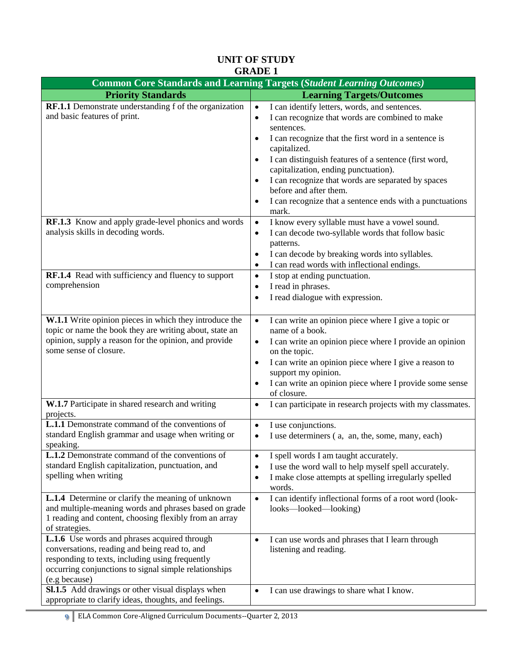| <b>Common Core Standards and Learning Targets (Student Learning Outcomes)</b>                                    |                                                                                               |  |  |  |  |
|------------------------------------------------------------------------------------------------------------------|-----------------------------------------------------------------------------------------------|--|--|--|--|
| <b>Priority Standards</b>                                                                                        | <b>Learning Targets/Outcomes</b>                                                              |  |  |  |  |
| RF.1.1 Demonstrate understanding f of the organization                                                           | I can identify letters, words, and sentences.<br>$\bullet$                                    |  |  |  |  |
| and basic features of print.                                                                                     | I can recognize that words are combined to make<br>$\bullet$                                  |  |  |  |  |
|                                                                                                                  | sentences.                                                                                    |  |  |  |  |
|                                                                                                                  | I can recognize that the first word in a sentence is                                          |  |  |  |  |
|                                                                                                                  | capitalized.                                                                                  |  |  |  |  |
|                                                                                                                  | I can distinguish features of a sentence (first word,                                         |  |  |  |  |
|                                                                                                                  | capitalization, ending punctuation).                                                          |  |  |  |  |
|                                                                                                                  | I can recognize that words are separated by spaces                                            |  |  |  |  |
|                                                                                                                  | before and after them.                                                                        |  |  |  |  |
|                                                                                                                  | I can recognize that a sentence ends with a punctuations<br>٠                                 |  |  |  |  |
|                                                                                                                  | mark.                                                                                         |  |  |  |  |
| RF.1.3 Know and apply grade-level phonics and words                                                              | I know every syllable must have a vowel sound.<br>$\bullet$                                   |  |  |  |  |
| analysis skills in decoding words.                                                                               | I can decode two-syllable words that follow basic<br>٠                                        |  |  |  |  |
|                                                                                                                  | patterns.                                                                                     |  |  |  |  |
|                                                                                                                  | I can decode by breaking words into syllables.                                                |  |  |  |  |
|                                                                                                                  | I can read words with inflectional endings.<br>$\bullet$                                      |  |  |  |  |
| RF.1.4 Read with sufficiency and fluency to support<br>comprehension                                             | I stop at ending punctuation.<br>$\bullet$                                                    |  |  |  |  |
|                                                                                                                  | I read in phrases.<br>٠                                                                       |  |  |  |  |
|                                                                                                                  | I read dialogue with expression.<br>$\bullet$                                                 |  |  |  |  |
|                                                                                                                  |                                                                                               |  |  |  |  |
| W.1.1 Write opinion pieces in which they introduce the                                                           | I can write an opinion piece where I give a topic or<br>$\bullet$                             |  |  |  |  |
| topic or name the book they are writing about, state an<br>opinion, supply a reason for the opinion, and provide | name of a book.                                                                               |  |  |  |  |
| some sense of closure.                                                                                           | I can write an opinion piece where I provide an opinion<br>٠<br>on the topic.                 |  |  |  |  |
|                                                                                                                  | I can write an opinion piece where I give a reason to<br>٠                                    |  |  |  |  |
|                                                                                                                  | support my opinion.                                                                           |  |  |  |  |
|                                                                                                                  | I can write an opinion piece where I provide some sense                                       |  |  |  |  |
|                                                                                                                  | of closure.                                                                                   |  |  |  |  |
| W.1.7 Participate in shared research and writing                                                                 | I can participate in research projects with my classmates.<br>$\bullet$                       |  |  |  |  |
| projects.                                                                                                        |                                                                                               |  |  |  |  |
| <b>L.1.1</b> Demonstrate command of the conventions of                                                           | I use conjunctions.<br>$\bullet$                                                              |  |  |  |  |
| standard English grammar and usage when writing or                                                               | I use determiners (a, an, the, some, many, each)<br>٠                                         |  |  |  |  |
| speaking.                                                                                                        |                                                                                               |  |  |  |  |
| L.1.2 Demonstrate command of the conventions of                                                                  | I spell words I am taught accurately.                                                         |  |  |  |  |
| standard English capitalization, punctuation, and<br>spelling when writing                                       | I use the word wall to help myself spell accurately.<br>$\bullet$                             |  |  |  |  |
|                                                                                                                  | I make close attempts at spelling irregularly spelled<br>$\bullet$                            |  |  |  |  |
| L.1.4 Determine or clarify the meaning of unknown                                                                | words.                                                                                        |  |  |  |  |
| and multiple-meaning words and phrases based on grade                                                            | I can identify inflectional forms of a root word (look-<br>$\bullet$<br>looks-looked-looking) |  |  |  |  |
| 1 reading and content, choosing flexibly from an array                                                           |                                                                                               |  |  |  |  |
| of strategies.                                                                                                   |                                                                                               |  |  |  |  |
| L.1.6 Use words and phrases acquired through                                                                     | I can use words and phrases that I learn through<br>$\bullet$                                 |  |  |  |  |
| conversations, reading and being read to, and                                                                    | listening and reading.                                                                        |  |  |  |  |
| responding to texts, including using frequently                                                                  |                                                                                               |  |  |  |  |
| occurring conjunctions to signal simple relationships                                                            |                                                                                               |  |  |  |  |
| (e.g because)                                                                                                    |                                                                                               |  |  |  |  |
| Sl.1.5 Add drawings or other visual displays when                                                                | I can use drawings to share what I know.<br>$\bullet$                                         |  |  |  |  |
| appropriate to clarify ideas, thoughts, and feelings.                                                            |                                                                                               |  |  |  |  |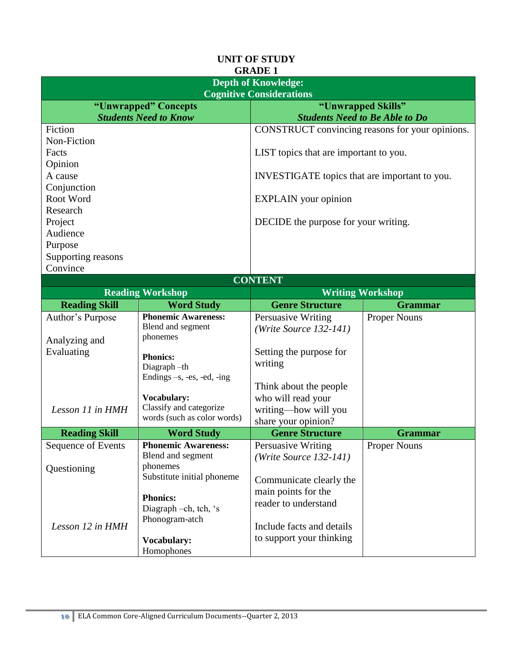|                      |                                | GKADE 1                                         |                     |  |  |
|----------------------|--------------------------------|-------------------------------------------------|---------------------|--|--|
|                      | <b>Depth of Knowledge:</b>     |                                                 |                     |  |  |
|                      |                                | <b>Cognitive Considerations</b>                 |                     |  |  |
|                      | "Unwrapped" Concepts           | "Unwrapped Skills"                              |                     |  |  |
|                      | <b>Students Need to Know</b>   | <b>Students Need to Be Able to Do</b>           |                     |  |  |
| Fiction              |                                | CONSTRUCT convincing reasons for your opinions. |                     |  |  |
| Non-Fiction          |                                |                                                 |                     |  |  |
| Facts                |                                | LIST topics that are important to you.          |                     |  |  |
| Opinion              |                                |                                                 |                     |  |  |
| A cause              |                                | INVESTIGATE topics that are important to you.   |                     |  |  |
| Conjunction          |                                |                                                 |                     |  |  |
| Root Word            |                                | <b>EXPLAIN</b> your opinion                     |                     |  |  |
| Research             |                                |                                                 |                     |  |  |
| Project              |                                | DECIDE the purpose for your writing.            |                     |  |  |
| Audience             |                                |                                                 |                     |  |  |
| Purpose              |                                |                                                 |                     |  |  |
| Supporting reasons   |                                |                                                 |                     |  |  |
| Convince             |                                |                                                 |                     |  |  |
|                      |                                | <b>CONTENT</b>                                  |                     |  |  |
|                      | <b>Reading Workshop</b>        | <b>Writing Workshop</b>                         |                     |  |  |
| <b>Reading Skill</b> | <b>Word Study</b>              | <b>Genre Structure</b>                          | <b>Grammar</b>      |  |  |
| Author's Purpose     | <b>Phonemic Awareness:</b>     | Persuasive Writing                              | <b>Proper Nouns</b> |  |  |
|                      | Blend and segment              | $(Write Source 132-141)$                        |                     |  |  |
| Analyzing and        | phonemes                       |                                                 |                     |  |  |
| Evaluating           |                                | Setting the purpose for                         |                     |  |  |
|                      | <b>Phonics:</b><br>Diagraph-th | writing                                         |                     |  |  |
|                      | Endings $-s$ , -es, -ed, -ing  |                                                 |                     |  |  |
|                      |                                | Think about the people                          |                     |  |  |
|                      | Vocabulary:                    | who will read your                              |                     |  |  |
| Lesson 11 in HMH     | Classify and categorize        | writing-how will you                            |                     |  |  |
|                      | words (such as color words)    | share your opinion?                             |                     |  |  |
| <b>Reading Skill</b> | <b>Word Study</b>              | <b>Genre Structure</b>                          | <b>Grammar</b>      |  |  |
| Sequence of Events   | <b>Phonemic Awareness:</b>     | Persuasive Writing                              | <b>Proper Nouns</b> |  |  |
|                      | Blend and segment              | $(Write Source 132-141)$                        |                     |  |  |
| Questioning          | phonemes                       |                                                 |                     |  |  |
|                      | Substitute initial phoneme     | Communicate clearly the                         |                     |  |  |
|                      |                                | main points for the                             |                     |  |  |
|                      | <b>Phonics:</b>                | reader to understand                            |                     |  |  |
|                      | Diagraph -ch, tch, 's          |                                                 |                     |  |  |
| Lesson 12 in HMH     | Phonogram-atch                 | Include facts and details                       |                     |  |  |
|                      | Vocabulary:                    | to support your thinking                        |                     |  |  |
|                      | Homophones                     |                                                 |                     |  |  |
|                      |                                |                                                 |                     |  |  |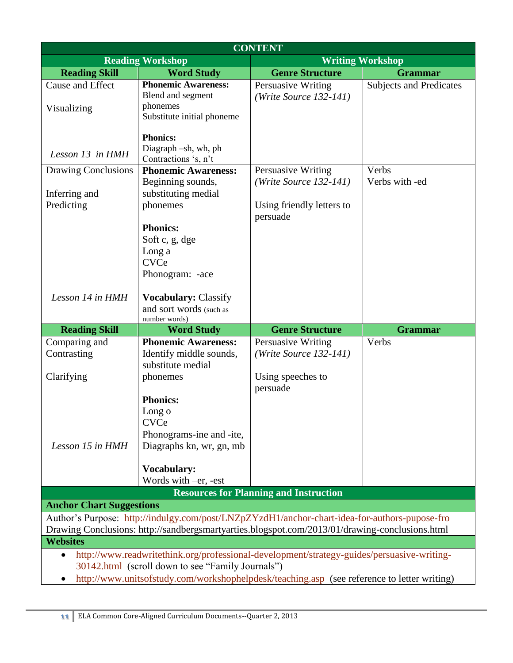|                                                                                                                                                                                                 | <b>CONTENT</b>                                                                                                                                  |                                                |                                |  |
|-------------------------------------------------------------------------------------------------------------------------------------------------------------------------------------------------|-------------------------------------------------------------------------------------------------------------------------------------------------|------------------------------------------------|--------------------------------|--|
|                                                                                                                                                                                                 | <b>Reading Workshop</b>                                                                                                                         |                                                | <b>Writing Workshop</b>        |  |
| <b>Reading Skill</b>                                                                                                                                                                            | <b>Word Study</b>                                                                                                                               | <b>Genre Structure</b>                         | <b>Grammar</b>                 |  |
| Cause and Effect<br>Visualizing                                                                                                                                                                 | <b>Phonemic Awareness:</b><br>Blend and segment<br>phonemes                                                                                     | Persuasive Writing<br>$(Write Source 132-141)$ | <b>Subjects and Predicates</b> |  |
| Lesson 13 in HMH                                                                                                                                                                                | Substitute initial phoneme<br><b>Phonics:</b><br>Diagraph -sh, wh, ph                                                                           |                                                |                                |  |
|                                                                                                                                                                                                 | Contractions 's, n't                                                                                                                            |                                                |                                |  |
| Drawing Conclusions<br>Inferring and                                                                                                                                                            | <b>Phonemic Awareness:</b><br>Beginning sounds,<br>substituting medial                                                                          | Persuasive Writing<br>$(Write Source 132-141)$ | Verbs<br>Verbs with -ed        |  |
| Predicting                                                                                                                                                                                      | phonemes                                                                                                                                        | Using friendly letters to<br>persuade          |                                |  |
|                                                                                                                                                                                                 | <b>Phonics:</b><br>Soft c, g, dge<br>Long a<br><b>CVCe</b><br>Phonogram: -ace                                                                   |                                                |                                |  |
| Lesson 14 in HMH                                                                                                                                                                                | <b>Vocabulary: Classify</b><br>and sort words (such as<br>number words)                                                                         |                                                |                                |  |
| <b>Reading Skill</b>                                                                                                                                                                            | <b>Word Study</b>                                                                                                                               | <b>Genre Structure</b>                         | <b>Grammar</b>                 |  |
| Comparing and<br>Contrasting                                                                                                                                                                    | <b>Phonemic Awareness:</b><br>Identify middle sounds,<br>substitute medial                                                                      | Persuasive Writing<br>$(Write Source 132-141)$ | Verbs                          |  |
| Clarifying                                                                                                                                                                                      | phonemes                                                                                                                                        | Using speeches to<br>persuade                  |                                |  |
| Lesson 15 in HMH                                                                                                                                                                                | <b>Phonics:</b><br>Long o<br><b>CVCe</b><br>Phonograms-ine and -ite,<br>Diagraphs kn, wr, gn, mb                                                |                                                |                                |  |
|                                                                                                                                                                                                 | <b>Vocabulary:</b><br>Words with -er, -est                                                                                                      |                                                |                                |  |
|                                                                                                                                                                                                 |                                                                                                                                                 | <b>Resources for Planning and Instruction</b>  |                                |  |
| <b>Anchor Chart Suggestions</b>                                                                                                                                                                 |                                                                                                                                                 |                                                |                                |  |
| Author's Purpose: http://indulgy.com/post/LNZpZYzdH1/anchor-chart-idea-for-authors-pupose-fro<br>Drawing Conclusions: http://sandbergsmartyarties.blogspot.com/2013/01/drawing-conclusions.html |                                                                                                                                                 |                                                |                                |  |
| <b>Websites</b>                                                                                                                                                                                 |                                                                                                                                                 |                                                |                                |  |
| $\bullet$                                                                                                                                                                                       | http://www.readwritethink.org/professional-development/strategy-guides/persuasive-writing-<br>30142.html (scroll down to see "Family Journals") |                                                |                                |  |
| http://www.unitsofstudy.com/workshophelpdesk/teaching.asp (see reference to letter writing)                                                                                                     |                                                                                                                                                 |                                                |                                |  |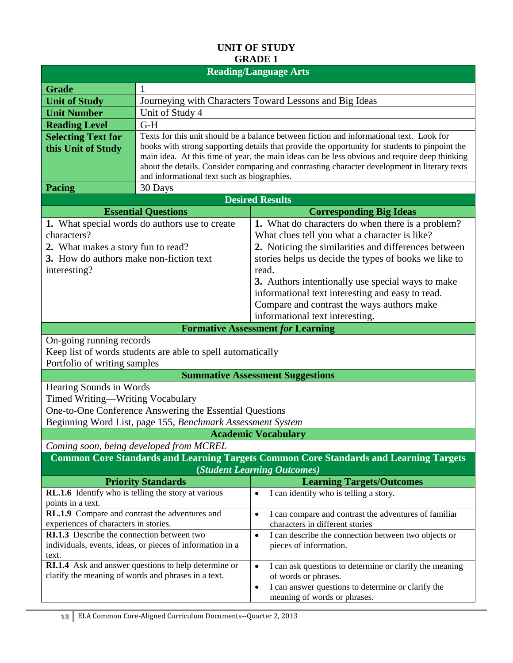| <b>Reading/Language Arts</b>                        |                                                             |                                                                                                                                              |  |  |  |
|-----------------------------------------------------|-------------------------------------------------------------|----------------------------------------------------------------------------------------------------------------------------------------------|--|--|--|
| <b>Grade</b>                                        | 1                                                           |                                                                                                                                              |  |  |  |
| <b>Unit of Study</b>                                | Journeying with Characters Toward Lessons and Big Ideas     |                                                                                                                                              |  |  |  |
| <b>Unit Number</b>                                  | Unit of Study 4                                             |                                                                                                                                              |  |  |  |
| <b>Reading Level</b>                                | $G-H$                                                       |                                                                                                                                              |  |  |  |
| <b>Selecting Text for</b>                           |                                                             | Texts for this unit should be a balance between fiction and informational text. Look for                                                     |  |  |  |
| this Unit of Study                                  |                                                             | books with strong supporting details that provide the opportunity for students to pinpoint the                                               |  |  |  |
|                                                     |                                                             | main idea. At this time of year, the main ideas can be less obvious and require deep thinking                                                |  |  |  |
|                                                     |                                                             | about the details. Consider comparing and contrasting character development in literary texts<br>and informational text such as biographies. |  |  |  |
| <b>Pacing</b>                                       | 30 Days                                                     |                                                                                                                                              |  |  |  |
|                                                     |                                                             | <b>Desired Results</b>                                                                                                                       |  |  |  |
|                                                     | <b>Essential Questions</b>                                  | <b>Corresponding Big Ideas</b>                                                                                                               |  |  |  |
|                                                     | 1. What special words do authors use to create              | 1. What do characters do when there is a problem?                                                                                            |  |  |  |
| characters?                                         |                                                             | What clues tell you what a character is like?                                                                                                |  |  |  |
| 2. What makes a story fun to read?                  |                                                             | 2. Noticing the similarities and differences between                                                                                         |  |  |  |
| 3. How do authors make non-fiction text             |                                                             | stories helps us decide the types of books we like to                                                                                        |  |  |  |
| interesting?                                        |                                                             | read.                                                                                                                                        |  |  |  |
|                                                     |                                                             | 3. Authors intentionally use special ways to make                                                                                            |  |  |  |
|                                                     |                                                             | informational text interesting and easy to read.                                                                                             |  |  |  |
|                                                     |                                                             | Compare and contrast the ways authors make                                                                                                   |  |  |  |
|                                                     |                                                             | informational text interesting.                                                                                                              |  |  |  |
|                                                     |                                                             | <b>Formative Assessment for Learning</b>                                                                                                     |  |  |  |
| On-going running records                            |                                                             |                                                                                                                                              |  |  |  |
|                                                     | Keep list of words students are able to spell automatically |                                                                                                                                              |  |  |  |
| Portfolio of writing samples                        |                                                             |                                                                                                                                              |  |  |  |
|                                                     |                                                             | <b>Summative Assessment Suggestions</b>                                                                                                      |  |  |  |
| Hearing Sounds in Words                             |                                                             |                                                                                                                                              |  |  |  |
| Timed Writing—Writing Vocabulary                    |                                                             |                                                                                                                                              |  |  |  |
|                                                     | One-to-One Conference Answering the Essential Questions     |                                                                                                                                              |  |  |  |
|                                                     | Beginning Word List, page 155, Benchmark Assessment System  |                                                                                                                                              |  |  |  |
|                                                     |                                                             | <b>Academic Vocabulary</b>                                                                                                                   |  |  |  |
|                                                     | Coming soon, being developed from MCREL                     |                                                                                                                                              |  |  |  |
|                                                     |                                                             | <b>Common Core Standards and Learning Targets Common Core Standards and Learning Targets</b><br>(Student Learning Outcomes)                  |  |  |  |
|                                                     | <b>Priority Standards</b>                                   | <b>Learning Targets/Outcomes</b>                                                                                                             |  |  |  |
| RL.1.6 Identify who is telling the story at various |                                                             | I can identify who is telling a story.<br>$\bullet$                                                                                          |  |  |  |
| points in a text.                                   |                                                             |                                                                                                                                              |  |  |  |
| RL.1.9 Compare and contrast the adventures and      |                                                             | I can compare and contrast the adventures of familiar<br>$\bullet$                                                                           |  |  |  |
| experiences of characters in stories.               |                                                             | characters in different stories                                                                                                              |  |  |  |
| <b>RI.1.3</b> Describe the connection between two   |                                                             | I can describe the connection between two objects or<br>$\bullet$                                                                            |  |  |  |
| text.                                               | individuals, events, ideas, or pieces of information in a   | pieces of information.                                                                                                                       |  |  |  |
|                                                     | <b>RI.1.4</b> Ask and answer questions to help determine or | I can ask questions to determine or clarify the meaning<br>$\bullet$                                                                         |  |  |  |
|                                                     | clarify the meaning of words and phrases in a text.         | of words or phrases.                                                                                                                         |  |  |  |
|                                                     |                                                             | I can answer questions to determine or clarify the<br>$\bullet$                                                                              |  |  |  |
|                                                     |                                                             | meaning of words or phrases.                                                                                                                 |  |  |  |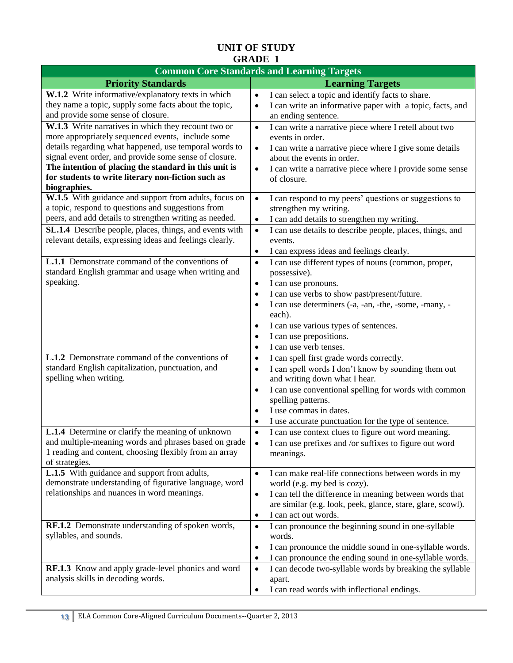| <b>Common Core Standards and Learning Targets</b>                                                                                                                                                                                                                                                                                                           |                                                                                                                                                                                                                                                                                                                                                                                        |  |  |
|-------------------------------------------------------------------------------------------------------------------------------------------------------------------------------------------------------------------------------------------------------------------------------------------------------------------------------------------------------------|----------------------------------------------------------------------------------------------------------------------------------------------------------------------------------------------------------------------------------------------------------------------------------------------------------------------------------------------------------------------------------------|--|--|
| <b>Priority Standards</b>                                                                                                                                                                                                                                                                                                                                   | <b>Learning Targets</b>                                                                                                                                                                                                                                                                                                                                                                |  |  |
| W.1.2 Write informative/explanatory texts in which<br>they name a topic, supply some facts about the topic,<br>and provide some sense of closure.                                                                                                                                                                                                           | I can select a topic and identify facts to share.<br>$\bullet$<br>I can write an informative paper with a topic, facts, and<br>$\bullet$<br>an ending sentence.                                                                                                                                                                                                                        |  |  |
| W.1.3 Write narratives in which they recount two or<br>more appropriately sequenced events, include some<br>details regarding what happened, use temporal words to<br>signal event order, and provide some sense of closure.<br>The intention of placing the standard in this unit is<br>for students to write literary non-fiction such as<br>biographies. | I can write a narrative piece where I retell about two<br>$\bullet$<br>events in order.<br>I can write a narrative piece where I give some details<br>$\bullet$<br>about the events in order.<br>I can write a narrative piece where I provide some sense<br>$\bullet$<br>of closure.                                                                                                  |  |  |
| W.1.5 With guidance and support from adults, focus on<br>a topic, respond to questions and suggestions from<br>peers, and add details to strengthen writing as needed.<br>SL.1.4 Describe people, places, things, and events with<br>relevant details, expressing ideas and feelings clearly.                                                               | I can respond to my peers' questions or suggestions to<br>$\bullet$<br>strengthen my writing.<br>I can add details to strengthen my writing.<br>$\bullet$<br>I can use details to describe people, places, things, and<br>$\bullet$<br>events.<br>I can express ideas and feelings clearly.<br>$\bullet$                                                                               |  |  |
| L.1.1 Demonstrate command of the conventions of<br>standard English grammar and usage when writing and<br>speaking.                                                                                                                                                                                                                                         | I can use different types of nouns (common, proper,<br>$\bullet$<br>possessive).<br>I can use pronouns.<br>$\bullet$<br>I can use verbs to show past/present/future.<br>$\bullet$<br>I can use determiners (-a, -an, -the, -some, -many, -<br>٠<br>each).<br>I can use various types of sentences.<br>٠<br>I can use prepositions.<br>$\bullet$<br>I can use verb tenses.<br>$\bullet$ |  |  |
| <b>L.1.2</b> Demonstrate command of the conventions of<br>standard English capitalization, punctuation, and<br>spelling when writing.                                                                                                                                                                                                                       | I can spell first grade words correctly.<br>$\bullet$<br>I can spell words I don't know by sounding them out<br>$\bullet$<br>and writing down what I hear.<br>I can use conventional spelling for words with common<br>$\bullet$<br>spelling patterns.<br>I use commas in dates.<br>$\bullet$<br>I use accurate punctuation for the type of sentence.<br>$\bullet$                     |  |  |
| L.1.4 Determine or clarify the meaning of unknown<br>and multiple-meaning words and phrases based on grade<br>1 reading and content, choosing flexibly from an array<br>of strategies.                                                                                                                                                                      | I can use context clues to figure out word meaning.<br>$\bullet$<br>I can use prefixes and /or suffixes to figure out word<br>$\bullet$<br>meanings.                                                                                                                                                                                                                                   |  |  |
| <b>L.1.5</b> With guidance and support from adults,<br>demonstrate understanding of figurative language, word<br>relationships and nuances in word meanings.                                                                                                                                                                                                | I can make real-life connections between words in my<br>$\bullet$<br>world (e.g. my bed is cozy).<br>I can tell the difference in meaning between words that<br>$\bullet$<br>are similar (e.g. look, peek, glance, stare, glare, scowl).<br>I can act out words.<br>$\bullet$                                                                                                          |  |  |
| RF.1.2 Demonstrate understanding of spoken words,<br>syllables, and sounds.                                                                                                                                                                                                                                                                                 | I can pronounce the beginning sound in one-syllable<br>$\bullet$<br>words.<br>I can pronounce the middle sound in one-syllable words.<br>$\bullet$<br>I can pronounce the ending sound in one-syllable words.<br>$\bullet$                                                                                                                                                             |  |  |
| RF.1.3 Know and apply grade-level phonics and word<br>analysis skills in decoding words.                                                                                                                                                                                                                                                                    | I can decode two-syllable words by breaking the syllable<br>$\bullet$<br>apart.<br>I can read words with inflectional endings.<br>$\bullet$                                                                                                                                                                                                                                            |  |  |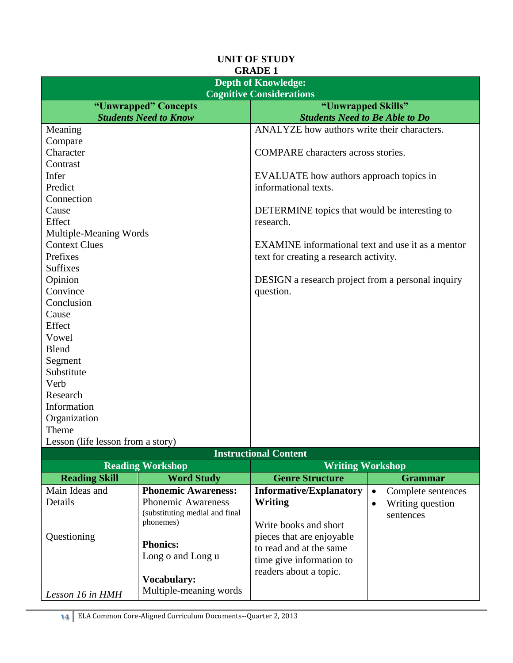| <b>Depth of Knowledge:</b>                         |                                                          |  |  |  |
|----------------------------------------------------|----------------------------------------------------------|--|--|--|
| <b>Cognitive Considerations</b>                    |                                                          |  |  |  |
| "Unwrapped" Concepts                               | "Unwrapped Skills"                                       |  |  |  |
| <b>Students Need to Know</b>                       | <b>Students Need to Be Able to Do</b>                    |  |  |  |
| Meaning                                            | ANALYZE how authors write their characters.              |  |  |  |
| Compare                                            |                                                          |  |  |  |
| Character                                          | COMPARE characters across stories.                       |  |  |  |
| Contrast                                           |                                                          |  |  |  |
| Infer                                              | EVALUATE how authors approach topics in                  |  |  |  |
| Predict                                            | informational texts.                                     |  |  |  |
| Connection                                         |                                                          |  |  |  |
| Cause                                              | DETERMINE topics that would be interesting to            |  |  |  |
| Effect                                             | research.                                                |  |  |  |
| Multiple-Meaning Words                             |                                                          |  |  |  |
| <b>Context Clues</b>                               | EXAMINE informational text and use it as a mentor        |  |  |  |
| Prefixes                                           | text for creating a research activity.                   |  |  |  |
| <b>Suffixes</b>                                    |                                                          |  |  |  |
| Opinion                                            | <b>DESIGN</b> a research project from a personal inquiry |  |  |  |
| Convince                                           | question.                                                |  |  |  |
| Conclusion                                         |                                                          |  |  |  |
| Cause                                              |                                                          |  |  |  |
| Effect                                             |                                                          |  |  |  |
| Vowel                                              |                                                          |  |  |  |
| <b>Blend</b>                                       |                                                          |  |  |  |
| Segment                                            |                                                          |  |  |  |
| Substitute                                         |                                                          |  |  |  |
| Verb                                               |                                                          |  |  |  |
| Research                                           |                                                          |  |  |  |
| Information                                        |                                                          |  |  |  |
| Organization                                       |                                                          |  |  |  |
| Theme                                              |                                                          |  |  |  |
| Lesson (life lesson from a story)                  |                                                          |  |  |  |
|                                                    | <b>Instructional Content</b>                             |  |  |  |
| <b>Reading Workshop</b><br><b>Writing Workshop</b> |                                                          |  |  |  |
| <u>n 10 anos l</u><br>$\mathbf{X}$                 | $\alpha$ .<br>$\sim$<br>$\sim$                           |  |  |  |

| <b>Reading Skill</b> | <b>Word Study</b>              | <b>Genre Structure</b>                               | <b>Grammar</b>     |
|----------------------|--------------------------------|------------------------------------------------------|--------------------|
| Main Ideas and       | <b>Phonemic Awareness:</b>     | <b>Informative/Explanatory</b>                       | Complete sentences |
| Details              | <b>Phonemic Awareness</b>      | Writing                                              | Writing question   |
|                      | (substituting medial and final |                                                      | sentences          |
|                      | phonemes)                      | Write books and short                                |                    |
| Questioning          | <b>Phonics:</b>                | pieces that are enjoyable<br>to read and at the same |                    |
|                      | Long o and Long u              | time give information to                             |                    |
|                      |                                | readers about a topic.                               |                    |
|                      | <b>Vocabulary:</b>             |                                                      |                    |
| Lesson 16 in HMH     | Multiple-meaning words         |                                                      |                    |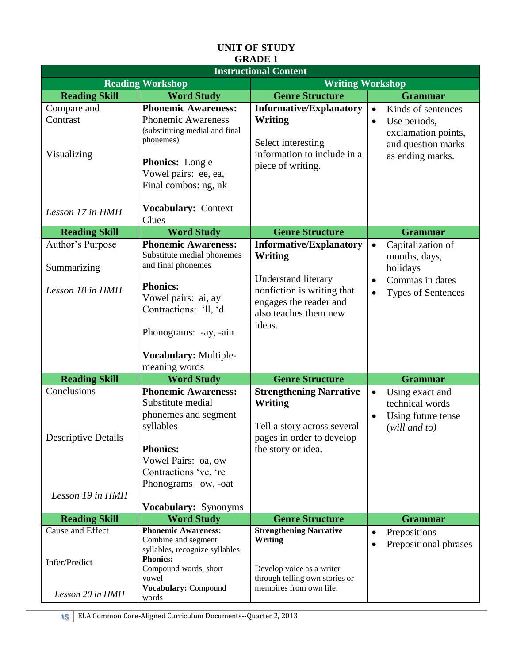|                                                               |                                                                                                                                                                                                                      |                                                                                                                                                             | <b>Instructional Content</b>                                                                                     |  |  |  |  |
|---------------------------------------------------------------|----------------------------------------------------------------------------------------------------------------------------------------------------------------------------------------------------------------------|-------------------------------------------------------------------------------------------------------------------------------------------------------------|------------------------------------------------------------------------------------------------------------------|--|--|--|--|
|                                                               | <b>Reading Workshop</b>                                                                                                                                                                                              | <b>Writing Workshop</b>                                                                                                                                     |                                                                                                                  |  |  |  |  |
| <b>Reading Skill</b>                                          | <b>Word Study</b>                                                                                                                                                                                                    | <b>Genre Structure</b>                                                                                                                                      | <b>Grammar</b>                                                                                                   |  |  |  |  |
| Compare and<br>Contrast<br>Visualizing                        | <b>Phonemic Awareness:</b><br><b>Phonemic Awareness</b><br>(substituting medial and final<br>phonemes)<br><b>Phonics:</b> Long e<br>Vowel pairs: ee, ea,<br>Final combos: ng, nk                                     | <b>Informative/Explanatory</b><br>Writing<br>Select interesting<br>information to include in a<br>piece of writing.                                         | Kinds of sentences<br>$\bullet$<br>Use periods,<br>exclamation points,<br>and question marks<br>as ending marks. |  |  |  |  |
| Lesson 17 in HMH                                              | Vocabulary: Context<br>Clues                                                                                                                                                                                         |                                                                                                                                                             |                                                                                                                  |  |  |  |  |
| <b>Reading Skill</b>                                          | <b>Word Study</b>                                                                                                                                                                                                    | <b>Genre Structure</b>                                                                                                                                      | <b>Grammar</b>                                                                                                   |  |  |  |  |
| Author's Purpose<br>Summarizing<br>Lesson 18 in HMH           | <b>Phonemic Awareness:</b><br>Substitute medial phonemes<br>and final phonemes<br><b>Phonics:</b><br>Vowel pairs: ai, ay<br>Contractions: 'll, 'd<br>Phonograms: -ay, -ain<br>Vocabulary: Multiple-<br>meaning words | <b>Informative/Explanatory</b><br>Writing<br>Understand literary<br>nonfiction is writing that<br>engages the reader and<br>also teaches them new<br>ideas. | Capitalization of<br>$\bullet$<br>months, days,<br>holidays<br>Commas in dates<br><b>Types of Sentences</b>      |  |  |  |  |
| <b>Reading Skill</b>                                          | <b>Word Study</b>                                                                                                                                                                                                    | <b>Genre Structure</b>                                                                                                                                      | <b>Grammar</b>                                                                                                   |  |  |  |  |
| Conclusions<br><b>Descriptive Details</b><br>Lesson 19 in HMH | <b>Phonemic Awareness:</b><br>Substitute medial<br>phonemes and segment<br>syllables<br><b>Phonics:</b><br>Vowel Pairs: oa, ow<br>Contractions 've, 're<br>Phonograms -ow, -oat<br>Vocabulary: Synonyms              | <b>Strengthening Narrative</b><br><b>Writing</b><br>Tell a story across several<br>pages in order to develop<br>the story or idea.                          | Using exact and<br>$\bullet$<br>technical words<br>Using future tense<br>$(will$ and to)                         |  |  |  |  |
| <b>Reading Skill</b>                                          | <b>Word Study</b>                                                                                                                                                                                                    | <b>Genre Structure</b>                                                                                                                                      | <b>Grammar</b>                                                                                                   |  |  |  |  |
| Cause and Effect<br>Infer/Predict<br>Lesson 20 in HMH         | <b>Phonemic Awareness:</b><br>Combine and segment<br>syllables, recognize syllables<br><b>Phonics:</b><br>Compound words, short<br>vowel<br>Vocabulary: Compound<br>words                                            | <b>Strengthening Narrative</b><br><b>Writing</b><br>Develop voice as a writer<br>through telling own stories or<br>memoires from own life.                  | Prepositions<br>$\bullet$<br>Prepositional phrases                                                               |  |  |  |  |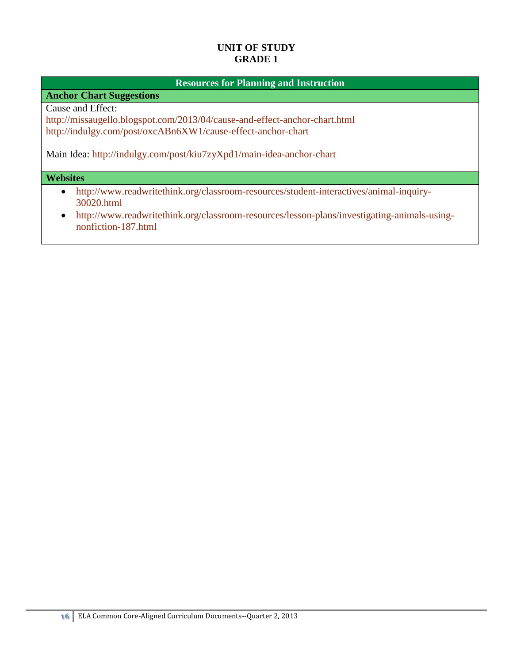#### **Resources for Planning and Instruction**

**Anchor Chart Suggestions**

Cause and Effect:

<http://missaugello.blogspot.com/2013/04/cause-and-effect-anchor-chart.html> <http://indulgy.com/post/oxcABn6XW1/cause-effect-anchor-chart>

Main Idea:<http://indulgy.com/post/kiu7zyXpd1/main-idea-anchor-chart>

#### **Websites**

- [http://www.readwritethink.org/classroom-resources/student-interactives/animal-inquiry-](http://www.readwritethink.org/classroom-resources/student-interactives/animal-inquiry-30020.html)[30020.html](http://www.readwritethink.org/classroom-resources/student-interactives/animal-inquiry-30020.html)
- [http://www.readwritethink.org/classroom-resources/lesson-plans/investigating-animals-using](http://www.readwritethink.org/classroom-resources/lesson-plans/investigating-animals-using-nonfiction-187.html)[nonfiction-187.html](http://www.readwritethink.org/classroom-resources/lesson-plans/investigating-animals-using-nonfiction-187.html)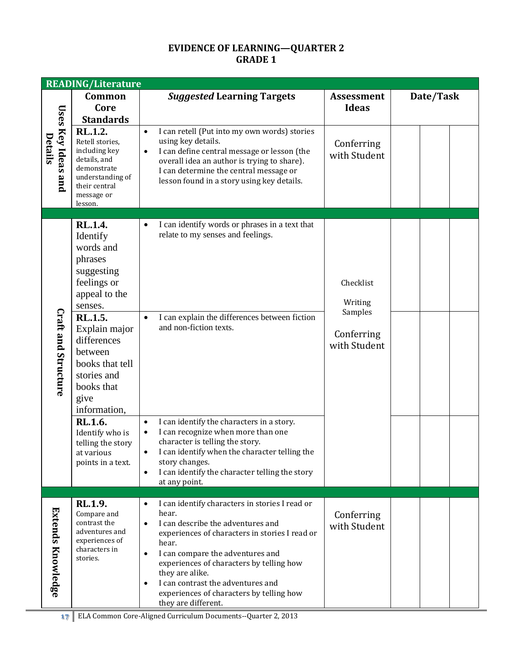# **EVIDENCE OF LEARNING—QUARTER 2 GRADE 1**

|                                      | <b>READING/Literature</b>                                                                                                                                                                                                                 |                                                                                                                                                                                                                                                                                                                                                                                                                        |                                                               |           |  |
|--------------------------------------|-------------------------------------------------------------------------------------------------------------------------------------------------------------------------------------------------------------------------------------------|------------------------------------------------------------------------------------------------------------------------------------------------------------------------------------------------------------------------------------------------------------------------------------------------------------------------------------------------------------------------------------------------------------------------|---------------------------------------------------------------|-----------|--|
|                                      | Common<br>Core<br><b>Standards</b>                                                                                                                                                                                                        | <b>Suggested Learning Targets</b>                                                                                                                                                                                                                                                                                                                                                                                      | <b>Assessment</b><br><b>Ideas</b>                             | Date/Task |  |
| <b>Uses Key Ideas and</b><br>Details | RL.1.2.<br>Retell stories,<br>including key<br>details, and<br>demonstrate<br>understanding of<br>their central<br>message or<br>lesson.                                                                                                  | I can retell (Put into my own words) stories<br>$\bullet$<br>using key details.<br>I can define central message or lesson (the<br>$\bullet$<br>overall idea an author is trying to share).<br>I can determine the central message or<br>lesson found in a story using key details.                                                                                                                                     | Conferring<br>with Student                                    |           |  |
| Craft and Structure                  | <b>RL.1.4.</b><br>Identify<br>words and<br>phrases<br>suggesting<br>feelings or<br>appeal to the<br>senses.<br>RL.1.5.<br>Explain major<br>differences<br>between<br>books that tell<br>stories and<br>books that<br>give<br>information, | I can identify words or phrases in a text that<br>$\bullet$<br>relate to my senses and feelings.<br>I can explain the differences between fiction<br>$\bullet$<br>and non-fiction texts.                                                                                                                                                                                                                               | Checklist<br>Writing<br>Samples<br>Conferring<br>with Student |           |  |
|                                      | RL.1.6.<br>Identify who is<br>telling the story<br>at various<br>points in a text.                                                                                                                                                        | I can identify the characters in a story.<br>$\bullet$<br>I can recognize when more than one<br>$\bullet$<br>character is telling the story.<br>I can identify when the character telling the<br>story changes.<br>I can identify the character telling the story<br>$\bullet$<br>at any point.                                                                                                                        |                                                               |           |  |
| Extends Knowledge                    | RL.1.9.<br>Compare and<br>contrast the<br>adventures and<br>experiences of<br>characters in<br>stories.                                                                                                                                   | I can identify characters in stories I read or<br>$\bullet$<br>hear.<br>I can describe the adventures and<br>$\bullet$<br>experiences of characters in stories I read or<br>hear.<br>I can compare the adventures and<br>$\bullet$<br>experiences of characters by telling how<br>they are alike.<br>I can contrast the adventures and<br>$\bullet$<br>experiences of characters by telling how<br>they are different. | Conferring<br>with Student                                    |           |  |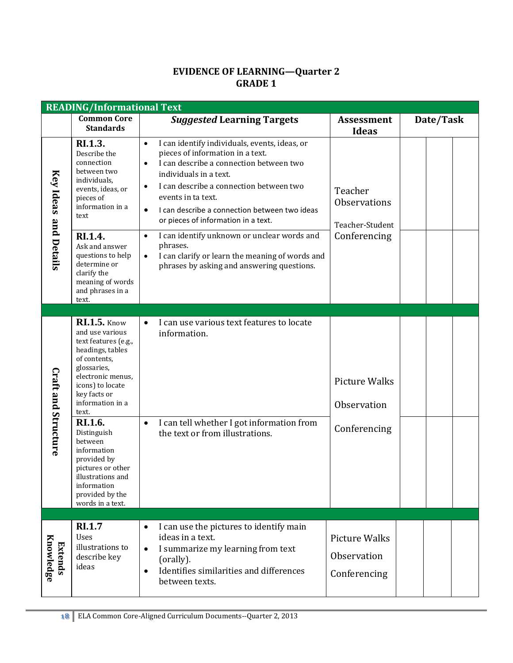#### **EVIDENCE OF LEARNING—Quarter 2 GRADE 1**

|                             | <b>READING/Informational Text</b>                                                                                                                                                                                  |                                                                                                                                                                                                                                                                                                                                                                     |                                                     |           |
|-----------------------------|--------------------------------------------------------------------------------------------------------------------------------------------------------------------------------------------------------------------|---------------------------------------------------------------------------------------------------------------------------------------------------------------------------------------------------------------------------------------------------------------------------------------------------------------------------------------------------------------------|-----------------------------------------------------|-----------|
|                             | <b>Common Core</b><br><b>Standards</b>                                                                                                                                                                             | <b>Suggested Learning Targets</b>                                                                                                                                                                                                                                                                                                                                   | <b>Assessment</b><br><b>Ideas</b>                   | Date/Task |
| Key Ideas and Details       | RI.1.3.<br>Describe the<br>connection<br>between two<br>individuals,<br>events, ideas, or<br>pieces of<br>information in a<br>text                                                                                 | I can identify individuals, events, ideas, or<br>$\bullet$<br>pieces of information in a text.<br>I can describe a connection between two<br>$\bullet$<br>individuals in a text.<br>I can describe a connection between two<br>$\bullet$<br>events in ta text.<br>I can describe a connection between two ideas<br>$\bullet$<br>or pieces of information in a text. | Teacher<br><b>Observations</b><br>Teacher-Student   |           |
|                             | RI.1.4.<br>Ask and answer<br>questions to help<br>determine or<br>clarify the<br>meaning of words<br>and phrases in a<br>text.                                                                                     | I can identify unknown or unclear words and<br>$\bullet$<br>phrases.<br>I can clarify or learn the meaning of words and<br>$\bullet$<br>phrases by asking and answering questions.                                                                                                                                                                                  | Conferencing                                        |           |
|                             |                                                                                                                                                                                                                    |                                                                                                                                                                                                                                                                                                                                                                     |                                                     |           |
| Craft and Structure         | <b>RI.1.5.</b> Know<br>and use various<br>text features (e.g.,<br>headings, tables<br>of contents,<br>glossaries,<br>electronic menus,<br>icons) to locate<br>key facts or<br>information in a<br>text.<br>RI.1.6. | I can use various text features to locate<br>$\bullet$<br>information.<br>I can tell whether I got information from<br>$\bullet$                                                                                                                                                                                                                                    | <b>Picture Walks</b><br>Observation<br>Conferencing |           |
|                             | Distinguish<br>between<br>information<br>provided by<br>pictures or other<br>illustrations and<br>information<br>provided by the<br>words in a text.                                                               | the text or from illustrations.                                                                                                                                                                                                                                                                                                                                     |                                                     |           |
| Knowledge<br><b>Extends</b> | <b>RI.1.7</b><br>Uses<br>illustrations to<br>describe key<br>ideas                                                                                                                                                 | I can use the pictures to identify main<br>$\bullet$<br>ideas in a text.<br>I summarize my learning from text<br>$\bullet$<br>(orally).<br>Identifies similarities and differences<br>$\bullet$<br>between texts.                                                                                                                                                   | <b>Picture Walks</b><br>Observation<br>Conferencing |           |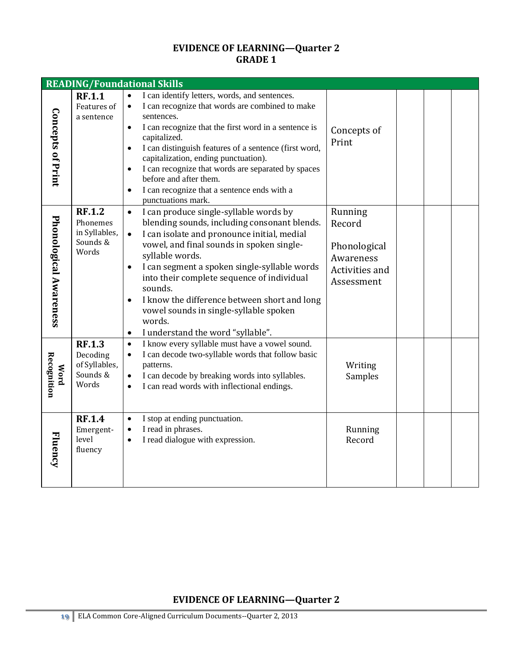# **EVIDENCE OF LEARNING—Quarter 2 GRADE 1**

|                            |                                                                 | <b>READING/Foundational Skills</b>                                                                                                                                                                                                                                                                                                                                                                                                                                                                                       |                                                                                |  |  |
|----------------------------|-----------------------------------------------------------------|--------------------------------------------------------------------------------------------------------------------------------------------------------------------------------------------------------------------------------------------------------------------------------------------------------------------------------------------------------------------------------------------------------------------------------------------------------------------------------------------------------------------------|--------------------------------------------------------------------------------|--|--|
| <b>Concepts of Print</b>   | <b>RF.1.1</b><br>Features of<br>a sentence                      | $\bullet$<br>I can identify letters, words, and sentences.<br>I can recognize that words are combined to make<br>$\bullet$<br>sentences.<br>I can recognize that the first word in a sentence is<br>$\bullet$<br>capitalized.<br>I can distinguish features of a sentence (first word,<br>$\bullet$<br>capitalization, ending punctuation).<br>I can recognize that words are separated by spaces<br>before and after them.<br>I can recognize that a sentence ends with a<br>$\bullet$<br>punctuations mark.            | Concepts of<br>Print                                                           |  |  |
| Phonological Awareness     | <b>RF.1.2</b><br>Phonemes<br>in Syllables,<br>Sounds &<br>Words | I can produce single-syllable words by<br>$\bullet$<br>blending sounds, including consonant blends.<br>I can isolate and pronounce initial, medial<br>$\bullet$<br>vowel, and final sounds in spoken single-<br>syllable words.<br>I can segment a spoken single-syllable words<br>$\bullet$<br>into their complete sequence of individual<br>sounds.<br>I know the difference between short and long<br>$\bullet$<br>vowel sounds in single-syllable spoken<br>words.<br>I understand the word "syllable".<br>$\bullet$ | Running<br>Record<br>Phonological<br>Awareness<br>Activities and<br>Assessment |  |  |
| <b>Recognition</b><br>Mord | <b>RF.1.3</b><br>Decoding<br>of Syllables,<br>Sounds &<br>Words | I know every syllable must have a vowel sound.<br>$\bullet$<br>I can decode two-syllable words that follow basic<br>$\bullet$<br>patterns.<br>I can decode by breaking words into syllables.<br>$\bullet$<br>I can read words with inflectional endings.<br>$\bullet$                                                                                                                                                                                                                                                    | Writing<br>Samples                                                             |  |  |
| Fluency                    | <b>RF.1.4</b><br>Emergent-<br>level<br>fluency                  | I stop at ending punctuation.<br>$\bullet$<br>I read in phrases.<br>$\bullet$<br>I read dialogue with expression.<br>$\bullet$                                                                                                                                                                                                                                                                                                                                                                                           | Running<br>Record                                                              |  |  |

# **EVIDENCE OF LEARNING—Quarter 2**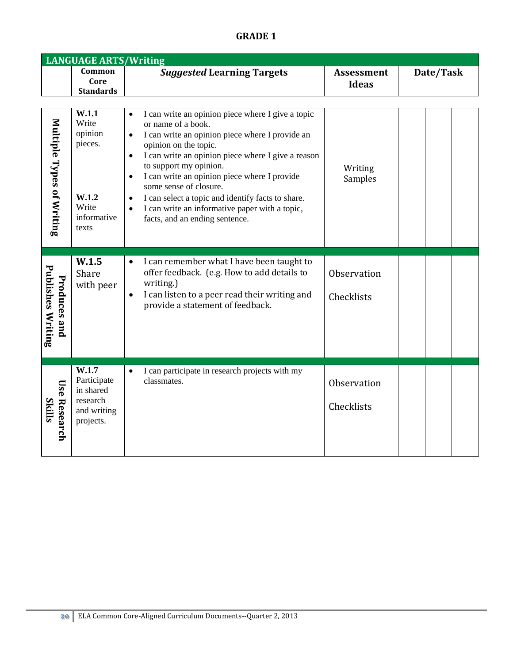# **GRADE 1**

|                                                 | <b>LANGUAGE ARTS/Writing</b>                                                   |                                                                                                                                                                                                                                                                                                                                                                                                                                                                                                                                      |                                   |           |
|-------------------------------------------------|--------------------------------------------------------------------------------|--------------------------------------------------------------------------------------------------------------------------------------------------------------------------------------------------------------------------------------------------------------------------------------------------------------------------------------------------------------------------------------------------------------------------------------------------------------------------------------------------------------------------------------|-----------------------------------|-----------|
|                                                 | Common<br>Core<br><b>Standards</b>                                             | <b>Suggested Learning Targets</b>                                                                                                                                                                                                                                                                                                                                                                                                                                                                                                    | <b>Assessment</b><br><b>Ideas</b> | Date/Task |
| Multiple Types of Writing                       | W.1.1<br>Write<br>opinion<br>pieces.<br>W.1.2<br>Write<br>informative<br>texts | I can write an opinion piece where I give a topic<br>$\bullet$<br>or name of a book.<br>I can write an opinion piece where I provide an<br>$\bullet$<br>opinion on the topic.<br>I can write an opinion piece where I give a reason<br>$\bullet$<br>to support my opinion.<br>I can write an opinion piece where I provide<br>$\bullet$<br>some sense of closure.<br>I can select a topic and identify facts to share.<br>$\bullet$<br>I can write an informative paper with a topic,<br>$\bullet$<br>facts, and an ending sentence. | Writing<br>Samples                |           |
| <b>Publishes Writing</b><br><b>Produces and</b> | W.1.5<br>Share<br>with peer                                                    | I can remember what I have been taught to<br>$\bullet$<br>offer feedback. (e.g. How to add details to<br>writing.)<br>I can listen to a peer read their writing and<br>$\bullet$<br>provide a statement of feedback.                                                                                                                                                                                                                                                                                                                 | Observation<br>Checklists         |           |
| <b>Use Research</b><br><b>Skills</b>            | W.1.7<br>Participate<br>in shared<br>research<br>and writing<br>projects.      | I can participate in research projects with my<br>$\bullet$<br>classmates.                                                                                                                                                                                                                                                                                                                                                                                                                                                           | Observation<br>Checklists         |           |